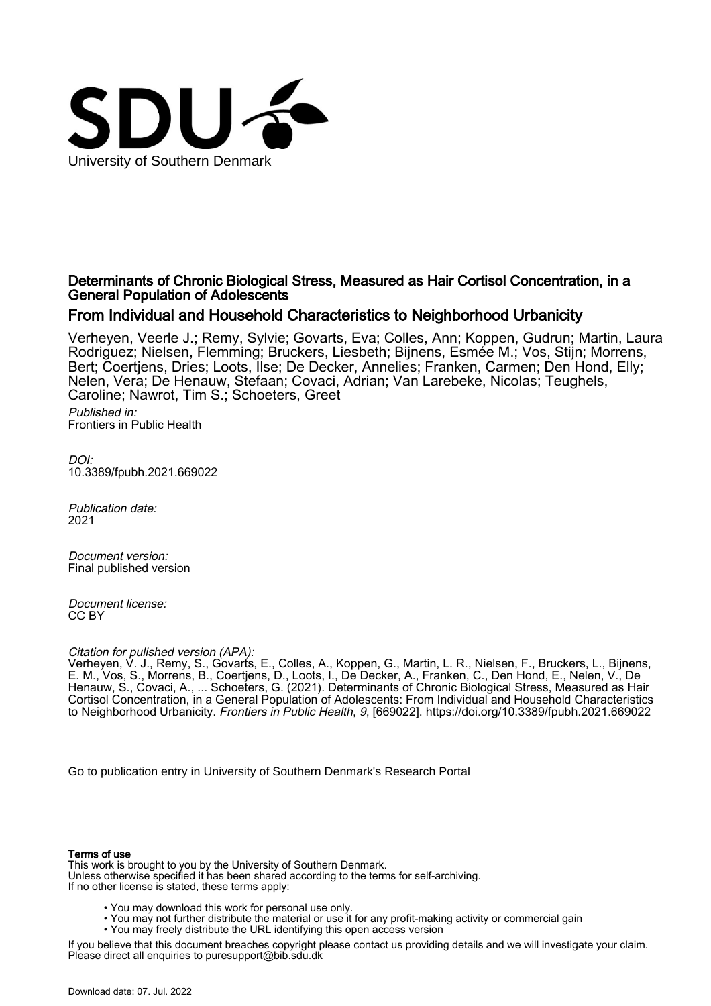

# Determinants of Chronic Biological Stress, Measured as Hair Cortisol Concentration, in a General Population of Adolescents

# From Individual and Household Characteristics to Neighborhood Urbanicity

Verheyen, Veerle J.; Remy, Sylvie; Govarts, Eva; Colles, Ann; Koppen, Gudrun; Martin, Laura Rodriguez; Nielsen, Flemming; Bruckers, Liesbeth; Bijnens, Esmée M.; Vos, Stijn; Morrens, Bert; Coertjens, Dries; Loots, Ilse; De Decker, Annelies; Franken, Carmen; Den Hond, Elly; Nelen, Vera; De Henauw, Stefaan; Covaci, Adrian; Van Larebeke, Nicolas; Teughels, Caroline; Nawrot, Tim S.; Schoeters, Greet Published in: Frontiers in Public Health

DOI: [10.3389/fpubh.2021.669022](https://doi.org/10.3389/fpubh.2021.669022)

Publication date: 2021

Document version: Final published version

Document license: CC BY

Citation for pulished version (APA):

Verheyen, V. J., Remy, S., Govarts, E., Colles, A., Koppen, G., Martin, L. R., Nielsen, F., Bruckers, L., Bijnens, E. M., Vos, S., Morrens, B., Coertjens, D., Loots, I., De Decker, A., Franken, C., Den Hond, E., Nelen, V., De Henauw, S., Covaci, A., ... Schoeters, G. (2021). Determinants of Chronic Biological Stress, Measured as Hair Cortisol Concentration, in a General Population of Adolescents: From Individual and Household Characteristics to Neighborhood Urbanicity. Frontiers in Public Health, 9, [669022].<https://doi.org/10.3389/fpubh.2021.669022>

[Go to publication entry in University of Southern Denmark's Research Portal](https://portal.findresearcher.sdu.dk/en/publications/179ed4a6-716f-40fa-a4c9-47b981ccc12f)

#### Terms of use

This work is brought to you by the University of Southern Denmark. Unless otherwise specified it has been shared according to the terms for self-archiving. If no other license is stated, these terms apply:

- You may download this work for personal use only.
- You may not further distribute the material or use it for any profit-making activity or commercial gain
- You may freely distribute the URL identifying this open access version

If you believe that this document breaches copyright please contact us providing details and we will investigate your claim. Please direct all enquiries to puresupport@bib.sdu.dk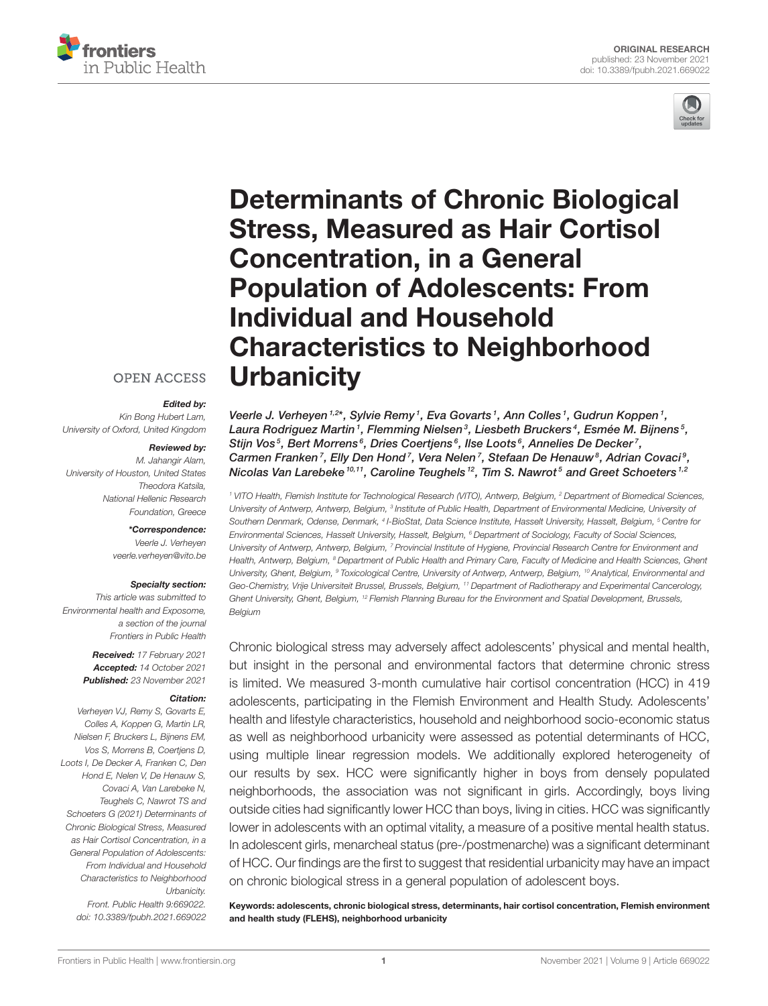



# [Determinants of Chronic Biological](https://www.frontiersin.org/articles/10.3389/fpubh.2021.669022/full) Stress, Measured as Hair Cortisol Concentration, in a General Population of Adolescents: From Individual and Household Characteristics to Neighborhood **Urbanicity**

#### **OPEN ACCESS**

#### Edited by:

*Kin Bong Hubert Lam, University of Oxford, United Kingdom*

#### Reviewed by:

*M. Jahangir Alam, University of Houston, United States Theodora Katsila, National Hellenic Research Foundation, Greece*

### \*Correspondence:

*Veerle J. Verheyen [veerle.verheyen@vito.be](mailto:veerle.verheyen@vito.be)*

#### Specialty section:

*This article was submitted to Environmental health and Exposome, a section of the journal Frontiers in Public Health*

> Received: *17 February 2021* Accepted: *14 October 2021* Published: *23 November 2021*

#### Citation:

*Verheyen VJ, Remy S, Govarts E, Colles A, Koppen G, Martin LR, Nielsen F, Bruckers L, Bijnens EM, Vos S, Morrens B, Coertjens D, Loots I, De Decker A, Franken C, Den Hond E, Nelen V, De Henauw S, Covaci A, Van Larebeke N, Teughels C, Nawrot TS and Schoeters G (2021) Determinants of Chronic Biological Stress, Measured as Hair Cortisol Concentration, in a General Population of Adolescents: From Individual and Household Characteristics to Neighborhood Urbanicity. Front. Public Health 9:669022. doi: [10.3389/fpubh.2021.669022](https://doi.org/10.3389/fpubh.2021.669022)*

Veerle J. Verheyen<sup>1,2\*</sup>, Sylvie Remy<sup>1</sup>, Eva Govarts<sup>1</sup>, Ann Colles<sup>1</sup>, Gudrun Koppen<sup>1</sup>, Laura Rodriguez Martin1, Flemming Nielsen<sup>3</sup>, Liesbeth Bruckers<sup>4</sup>, Esmée M. Bijnens<sup>5</sup>, Stijn Vos<sup>5</sup>, Bert Morrens<sup>6</sup>, Dries Coertjens<sup>6</sup>, Ilse Loots<sup>6</sup>, Annelies De Decker<sup>7</sup>, Carmen Franken<sup>7</sup>, Elly Den Hond<sup>7</sup>, Vera Nelen<sup>7</sup>, Stefaan De Henauw<sup>8</sup>, Adrian Covaci<sup>9</sup>, Nicolas Van Larebeke<sup>10,11</sup>, Caroline Teughels<sup>12</sup>, Tim S. Nawrot<sup>5</sup> and Greet Schoeters<sup>1,2</sup>

*<sup>1</sup> VITO Health, Flemish Institute for Technological Research (VITO), Antwerp, Belgium, <sup>2</sup> Department of Biomedical Sciences,* University of Antwerp, Antwerp, Belgium, <sup>3</sup> Institute of Public Health, Department of Environmental Medicine, University oi *Southern Denmark, Odense, Denmark, <sup>4</sup> I-BioStat, Data Science Institute, Hasselt University, Hasselt, Belgium, <sup>5</sup> Centre for Environmental Sciences, Hasselt University, Hasselt, Belgium, <sup>6</sup> Department of Sociology, Faculty of Social Sciences, University of Antwerp, Antwerp, Belgium, <sup>7</sup> Provincial Institute of Hygiene, Provincial Research Centre for Environment and Health, Antwerp, Belgium, <sup>8</sup> Department of Public Health and Primary Care, Faculty of Medicine and Health Sciences, Ghent University, Ghent, Belgium, <sup>9</sup> Toxicological Centre, University of Antwerp, Antwerp, Belgium, <sup>10</sup> Analytical, Environmental and Geo-Chemistry, Vrije Universiteit Brussel, Brussels, Belgium, <sup>11</sup> Department of Radiotherapy and Experimental Cancerology, Ghent University, Ghent, Belgium, <sup>12</sup> Flemish Planning Bureau for the Environment and Spatial Development, Brussels, Belgium*

Chronic biological stress may adversely affect adolescents' physical and mental health, but insight in the personal and environmental factors that determine chronic stress is limited. We measured 3-month cumulative hair cortisol concentration (HCC) in 419 adolescents, participating in the Flemish Environment and Health Study. Adolescents' health and lifestyle characteristics, household and neighborhood socio-economic status as well as neighborhood urbanicity were assessed as potential determinants of HCC, using multiple linear regression models. We additionally explored heterogeneity of our results by sex. HCC were significantly higher in boys from densely populated neighborhoods, the association was not significant in girls. Accordingly, boys living outside cities had significantly lower HCC than boys, living in cities. HCC was significantly lower in adolescents with an optimal vitality, a measure of a positive mental health status. In adolescent girls, menarcheal status (pre-/postmenarche) was a significant determinant of HCC. Our findings are the first to suggest that residential urbanicity may have an impact on chronic biological stress in a general population of adolescent boys.

Keywords: adolescents, chronic biological stress, determinants, hair cortisol concentration, Flemish environment and health study (FLEHS), neighborhood urbanicity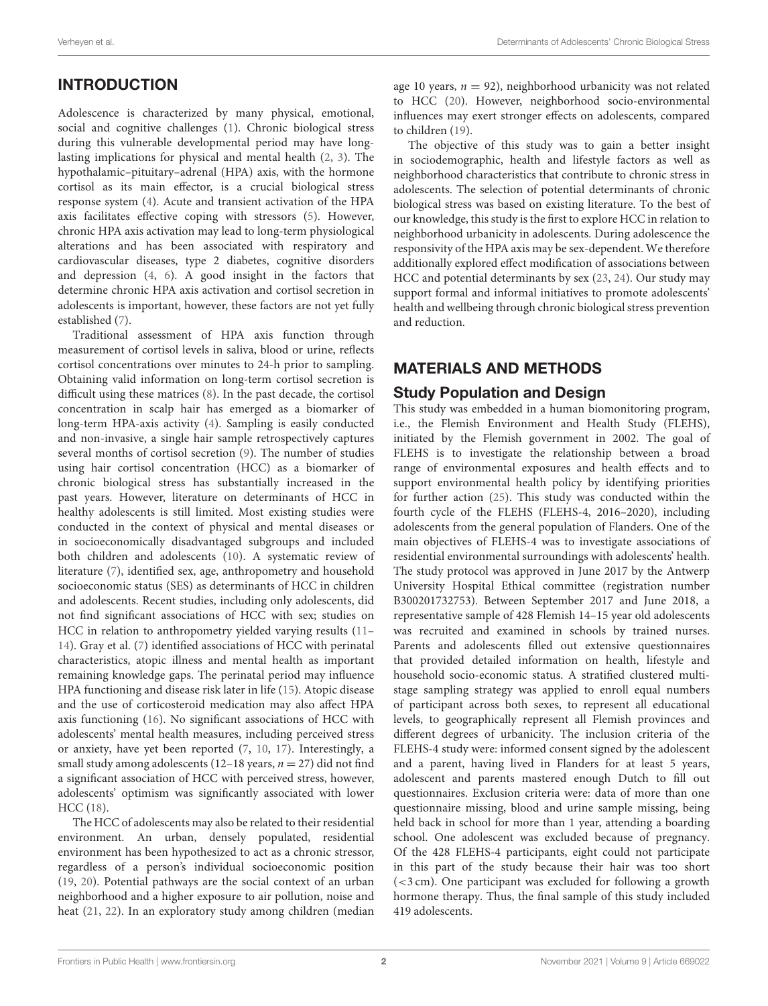# INTRODUCTION

Adolescence is characterized by many physical, emotional, social and cognitive challenges [\(1\)](#page-12-0). Chronic biological stress during this vulnerable developmental period may have longlasting implications for physical and mental health [\(2,](#page-12-1) [3\)](#page-12-2). The hypothalamic–pituitary–adrenal (HPA) axis, with the hormone cortisol as its main effector, is a crucial biological stress response system [\(4\)](#page-12-3). Acute and transient activation of the HPA axis facilitates effective coping with stressors [\(5\)](#page-12-4). However, chronic HPA axis activation may lead to long-term physiological alterations and has been associated with respiratory and cardiovascular diseases, type 2 diabetes, cognitive disorders and depression [\(4,](#page-12-3) [6\)](#page-12-5). A good insight in the factors that determine chronic HPA axis activation and cortisol secretion in adolescents is important, however, these factors are not yet fully established [\(7\)](#page-12-6).

Traditional assessment of HPA axis function through measurement of cortisol levels in saliva, blood or urine, reflects cortisol concentrations over minutes to 24-h prior to sampling. Obtaining valid information on long-term cortisol secretion is difficult using these matrices [\(8\)](#page-12-7). In the past decade, the cortisol concentration in scalp hair has emerged as a biomarker of long-term HPA-axis activity [\(4\)](#page-12-3). Sampling is easily conducted and non-invasive, a single hair sample retrospectively captures several months of cortisol secretion [\(9\)](#page-12-8). The number of studies using hair cortisol concentration (HCC) as a biomarker of chronic biological stress has substantially increased in the past years. However, literature on determinants of HCC in healthy adolescents is still limited. Most existing studies were conducted in the context of physical and mental diseases or in socioeconomically disadvantaged subgroups and included both children and adolescents [\(10\)](#page-12-9). A systematic review of literature [\(7\)](#page-12-6), identified sex, age, anthropometry and household socioeconomic status (SES) as determinants of HCC in children and adolescents. Recent studies, including only adolescents, did not find significant associations of HCC with sex; studies on HCC in relation to anthropometry yielded varying results [\(11–](#page-12-10) [14\)](#page-12-11). Gray et al. [\(7\)](#page-12-6) identified associations of HCC with perinatal characteristics, atopic illness and mental health as important remaining knowledge gaps. The perinatal period may influence HPA functioning and disease risk later in life [\(15\)](#page-12-12). Atopic disease and the use of corticosteroid medication may also affect HPA axis functioning [\(16\)](#page-12-13). No significant associations of HCC with adolescents' mental health measures, including perceived stress or anxiety, have yet been reported [\(7,](#page-12-6) [10,](#page-12-9) [17\)](#page-12-14). Interestingly, a small study among adolescents (12–18 years,  $n = 27$ ) did not find a significant association of HCC with perceived stress, however, adolescents' optimism was significantly associated with lower HCC [\(18\)](#page-12-15).

The HCC of adolescents may also be related to their residential environment. An urban, densely populated, residential environment has been hypothesized to act as a chronic stressor, regardless of a person's individual socioeconomic position [\(19,](#page-12-16) [20\)](#page-12-17). Potential pathways are the social context of an urban neighborhood and a higher exposure to air pollution, noise and heat [\(21,](#page-12-18) [22\)](#page-12-19). In an exploratory study among children (median age 10 years,  $n = 92$ ), neighborhood urbanicity was not related to HCC [\(20\)](#page-12-17). However, neighborhood socio-environmental influences may exert stronger effects on adolescents, compared to children [\(19\)](#page-12-16).

The objective of this study was to gain a better insight in sociodemographic, health and lifestyle factors as well as neighborhood characteristics that contribute to chronic stress in adolescents. The selection of potential determinants of chronic biological stress was based on existing literature. To the best of our knowledge, this study is the first to explore HCC in relation to neighborhood urbanicity in adolescents. During adolescence the responsivity of the HPA axis may be sex-dependent. We therefore additionally explored effect modification of associations between HCC and potential determinants by sex [\(23,](#page-12-20) [24\)](#page-12-21). Our study may support formal and informal initiatives to promote adolescents' health and wellbeing through chronic biological stress prevention and reduction.

# MATERIALS AND METHODS

### Study Population and Design

This study was embedded in a human biomonitoring program, i.e., the Flemish Environment and Health Study (FLEHS), initiated by the Flemish government in 2002. The goal of FLEHS is to investigate the relationship between a broad range of environmental exposures and health effects and to support environmental health policy by identifying priorities for further action [\(25\)](#page-12-22). This study was conducted within the fourth cycle of the FLEHS (FLEHS-4, 2016–2020), including adolescents from the general population of Flanders. One of the main objectives of FLEHS-4 was to investigate associations of residential environmental surroundings with adolescents' health. The study protocol was approved in June 2017 by the Antwerp University Hospital Ethical committee (registration number B300201732753). Between September 2017 and June 2018, a representative sample of 428 Flemish 14–15 year old adolescents was recruited and examined in schools by trained nurses. Parents and adolescents filled out extensive questionnaires that provided detailed information on health, lifestyle and household socio-economic status. A stratified clustered multistage sampling strategy was applied to enroll equal numbers of participant across both sexes, to represent all educational levels, to geographically represent all Flemish provinces and different degrees of urbanicity. The inclusion criteria of the FLEHS-4 study were: informed consent signed by the adolescent and a parent, having lived in Flanders for at least 5 years, adolescent and parents mastered enough Dutch to fill out questionnaires. Exclusion criteria were: data of more than one questionnaire missing, blood and urine sample missing, being held back in school for more than 1 year, attending a boarding school. One adolescent was excluded because of pregnancy. Of the 428 FLEHS-4 participants, eight could not participate in this part of the study because their hair was too short (<3 cm). One participant was excluded for following a growth hormone therapy. Thus, the final sample of this study included 419 adolescents.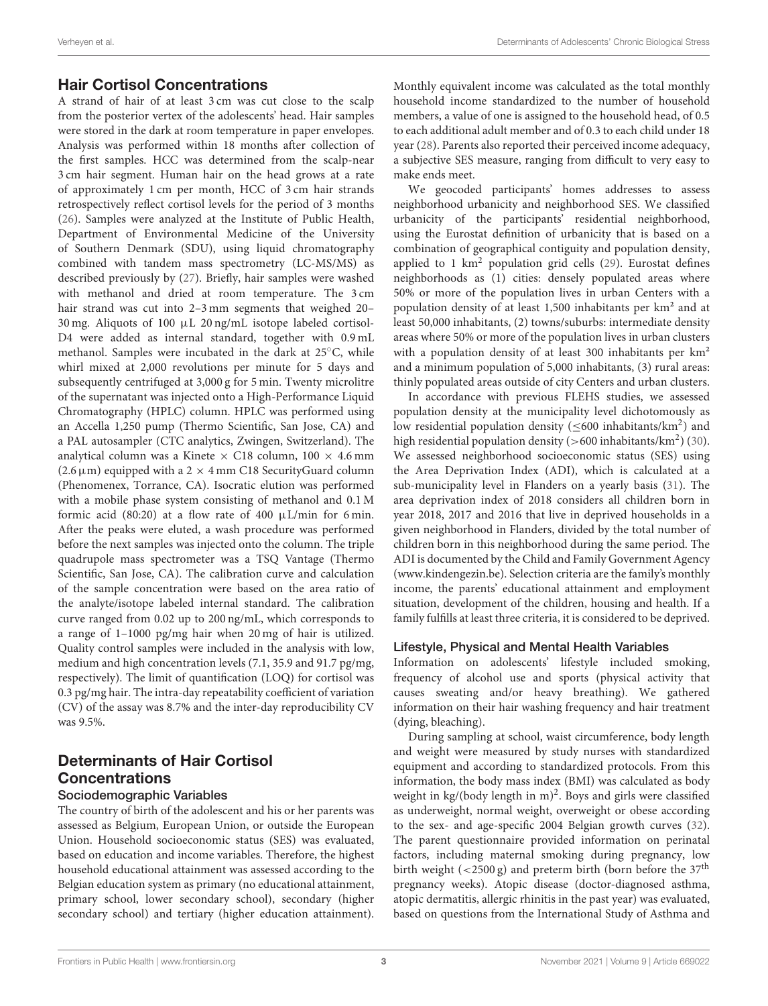# Hair Cortisol Concentrations

A strand of hair of at least 3 cm was cut close to the scalp from the posterior vertex of the adolescents' head. Hair samples were stored in the dark at room temperature in paper envelopes. Analysis was performed within 18 months after collection of the first samples. HCC was determined from the scalp-near 3 cm hair segment. Human hair on the head grows at a rate of approximately 1 cm per month, HCC of 3 cm hair strands retrospectively reflect cortisol levels for the period of 3 months [\(26\)](#page-13-0). Samples were analyzed at the Institute of Public Health, Department of Environmental Medicine of the University of Southern Denmark (SDU), using liquid chromatography combined with tandem mass spectrometry (LC-MS/MS) as described previously by [\(27\)](#page-13-1). Briefly, hair samples were washed with methanol and dried at room temperature. The 3 cm hair strand was cut into 2–3 mm segments that weighed 20– 30 mg. Aliquots of 100 µL 20 ng/mL isotope labeled cortisol-D4 were added as internal standard, together with 0.9 mL methanol. Samples were incubated in the dark at 25◦C, while whirl mixed at 2,000 revolutions per minute for 5 days and subsequently centrifuged at 3,000 g for 5 min. Twenty microlitre of the supernatant was injected onto a High-Performance Liquid Chromatography (HPLC) column. HPLC was performed using an Accella 1,250 pump (Thermo Scientific, San Jose, CA) and a PAL autosampler (CTC analytics, Zwingen, Switzerland). The analytical column was a Kinete  $\times$  C18 column, 100  $\times$  4.6 mm (2.6  $\mu$ m) equipped with a 2  $\times$  4 mm C18 SecurityGuard column (Phenomenex, Torrance, CA). Isocratic elution was performed with a mobile phase system consisting of methanol and 0.1 M formic acid (80:20) at a flow rate of 400  $\mu$ L/min for 6 min. After the peaks were eluted, a wash procedure was performed before the next samples was injected onto the column. The triple quadrupole mass spectrometer was a TSQ Vantage (Thermo Scientific, San Jose, CA). The calibration curve and calculation of the sample concentration were based on the area ratio of the analyte/isotope labeled internal standard. The calibration curve ranged from 0.02 up to 200 ng/mL, which corresponds to a range of 1–1000 pg/mg hair when 20 mg of hair is utilized. Quality control samples were included in the analysis with low, medium and high concentration levels (7.1, 35.9 and 91.7 pg/mg, respectively). The limit of quantification (LOQ) for cortisol was 0.3 pg/mg hair. The intra-day repeatability coefficient of variation (CV) of the assay was 8.7% and the inter-day reproducibility CV was 9.5%.

# Determinants of Hair Cortisol Concentrations

### Sociodemographic Variables

The country of birth of the adolescent and his or her parents was assessed as Belgium, European Union, or outside the European Union. Household socioeconomic status (SES) was evaluated, based on education and income variables. Therefore, the highest household educational attainment was assessed according to the Belgian education system as primary (no educational attainment, primary school, lower secondary school), secondary (higher secondary school) and tertiary (higher education attainment). Monthly equivalent income was calculated as the total monthly household income standardized to the number of household members, a value of one is assigned to the household head, of 0.5 to each additional adult member and of 0.3 to each child under 18 year [\(28\)](#page-13-2). Parents also reported their perceived income adequacy, a subjective SES measure, ranging from difficult to very easy to make ends meet.

We geocoded participants' homes addresses to assess neighborhood urbanicity and neighborhood SES. We classified urbanicity of the participants' residential neighborhood, using the Eurostat definition of urbanicity that is based on a combination of geographical contiguity and population density, applied to 1  $km^2$  population grid cells [\(29\)](#page-13-3). Eurostat defines neighborhoods as (1) cities: densely populated areas where 50% or more of the population lives in urban Centers with a population density of at least 1,500 inhabitants per km² and at least 50,000 inhabitants, (2) towns/suburbs: intermediate density areas where 50% or more of the population lives in urban clusters with a population density of at least 300 inhabitants per  $km^2$ and a minimum population of 5,000 inhabitants, (3) rural areas: thinly populated areas outside of city Centers and urban clusters.

In accordance with previous FLEHS studies, we assessed population density at the municipality level dichotomously as low residential population density ( $\leq 600$  inhabitants/km<sup>2</sup>) and high residential population density ( $>600$  inhabitants/km<sup>2</sup>) [\(30\)](#page-13-4). We assessed neighborhood socioeconomic status (SES) using the Area Deprivation Index (ADI), which is calculated at a sub-municipality level in Flanders on a yearly basis [\(31\)](#page-13-5). The area deprivation index of 2018 considers all children born in year 2018, 2017 and 2016 that live in deprived households in a given neighborhood in Flanders, divided by the total number of children born in this neighborhood during the same period. The ADI is documented by the Child and Family Government Agency [\(www.kindengezin.be\)](http://www.kindengezin.be). Selection criteria are the family's monthly income, the parents' educational attainment and employment situation, development of the children, housing and health. If a family fulfills at least three criteria, it is considered to be deprived.

### Lifestyle, Physical and Mental Health Variables

Information on adolescents' lifestyle included smoking, frequency of alcohol use and sports (physical activity that causes sweating and/or heavy breathing). We gathered information on their hair washing frequency and hair treatment (dying, bleaching).

During sampling at school, waist circumference, body length and weight were measured by study nurses with standardized equipment and according to standardized protocols. From this information, the body mass index (BMI) was calculated as body weight in kg/(body length in m)<sup>2</sup>. Boys and girls were classified as underweight, normal weight, overweight or obese according to the sex- and age-specific 2004 Belgian growth curves [\(32\)](#page-13-6). The parent questionnaire provided information on perinatal factors, including maternal smoking during pregnancy, low birth weight  $\left($  <2500 g) and preterm birth (born before the 37<sup>th</sup> pregnancy weeks). Atopic disease (doctor-diagnosed asthma, atopic dermatitis, allergic rhinitis in the past year) was evaluated, based on questions from the International Study of Asthma and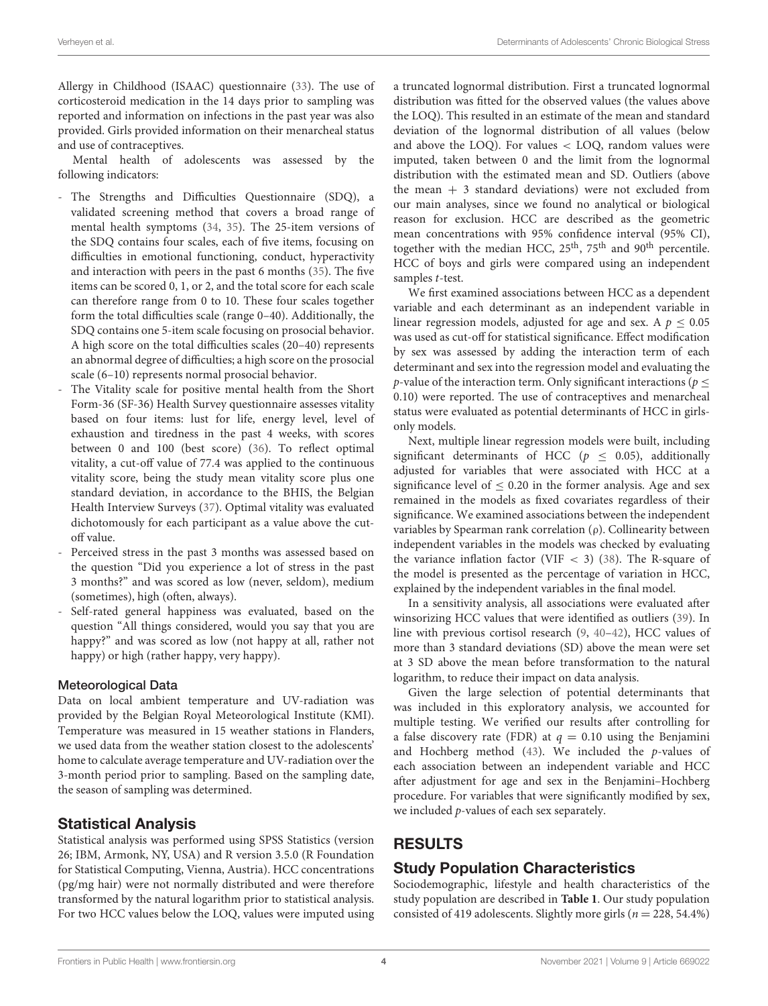Allergy in Childhood (ISAAC) questionnaire [\(33\)](#page-13-7). The use of corticosteroid medication in the 14 days prior to sampling was reported and information on infections in the past year was also provided. Girls provided information on their menarcheal status and use of contraceptives.

Mental health of adolescents was assessed by the following indicators:

- The Strengths and Difficulties Questionnaire (SDQ), a validated screening method that covers a broad range of mental health symptoms [\(34,](#page-13-8) [35\)](#page-13-9). The 25-item versions of the SDQ contains four scales, each of five items, focusing on difficulties in emotional functioning, conduct, hyperactivity and interaction with peers in the past 6 months [\(35\)](#page-13-9). The five items can be scored 0, 1, or 2, and the total score for each scale can therefore range from 0 to 10. These four scales together form the total difficulties scale (range 0–40). Additionally, the SDQ contains one 5-item scale focusing on prosocial behavior. A high score on the total difficulties scales (20–40) represents an abnormal degree of difficulties; a high score on the prosocial scale (6–10) represents normal prosocial behavior.
- The Vitality scale for positive mental health from the Short Form-36 (SF-36) Health Survey questionnaire assesses vitality based on four items: lust for life, energy level, level of exhaustion and tiredness in the past 4 weeks, with scores between 0 and 100 (best score) [\(36\)](#page-13-10). To reflect optimal vitality, a cut-off value of 77.4 was applied to the continuous vitality score, being the study mean vitality score plus one standard deviation, in accordance to the BHIS, the Belgian Health Interview Surveys [\(37\)](#page-13-11). Optimal vitality was evaluated dichotomously for each participant as a value above the cutoff value.
- Perceived stress in the past 3 months was assessed based on the question "Did you experience a lot of stress in the past 3 months?" and was scored as low (never, seldom), medium (sometimes), high (often, always).
- Self-rated general happiness was evaluated, based on the question "All things considered, would you say that you are happy?" and was scored as low (not happy at all, rather not happy) or high (rather happy, very happy).

#### Meteorological Data

Data on local ambient temperature and UV-radiation was provided by the Belgian Royal Meteorological Institute (KMI). Temperature was measured in 15 weather stations in Flanders, we used data from the weather station closest to the adolescents' home to calculate average temperature and UV-radiation over the 3-month period prior to sampling. Based on the sampling date, the season of sampling was determined.

### Statistical Analysis

Statistical analysis was performed using SPSS Statistics (version 26; IBM, Armonk, NY, USA) and R version 3.5.0 (R Foundation for Statistical Computing, Vienna, Austria). HCC concentrations (pg/mg hair) were not normally distributed and were therefore transformed by the natural logarithm prior to statistical analysis. For two HCC values below the LOQ, values were imputed using a truncated lognormal distribution. First a truncated lognormal distribution was fitted for the observed values (the values above the LOQ). This resulted in an estimate of the mean and standard deviation of the lognormal distribution of all values (below and above the LOQ). For values < LOQ, random values were imputed, taken between 0 and the limit from the lognormal distribution with the estimated mean and SD. Outliers (above the mean  $+$  3 standard deviations) were not excluded from our main analyses, since we found no analytical or biological reason for exclusion. HCC are described as the geometric mean concentrations with 95% confidence interval (95% CI), together with the median HCC,  $25<sup>th</sup>$ ,  $75<sup>th</sup>$  and  $90<sup>th</sup>$  percentile. HCC of boys and girls were compared using an independent samples t-test.

We first examined associations between HCC as a dependent variable and each determinant as an independent variable in linear regression models, adjusted for age and sex. A  $p \leq 0.05$ was used as cut-off for statistical significance. Effect modification by sex was assessed by adding the interaction term of each determinant and sex into the regression model and evaluating the p-value of the interaction term. Only significant interactions ( $p <$ 0.10) were reported. The use of contraceptives and menarcheal status were evaluated as potential determinants of HCC in girlsonly models.

Next, multiple linear regression models were built, including significant determinants of HCC ( $p \leq 0.05$ ), additionally adjusted for variables that were associated with HCC at a significance level of  $\leq 0.20$  in the former analysis. Age and sex remained in the models as fixed covariates regardless of their significance. We examined associations between the independent variables by Spearman rank correlation (ρ). Collinearity between independent variables in the models was checked by evaluating the variance inflation factor (VIF  $<$  3) [\(38\)](#page-13-12). The R-square of the model is presented as the percentage of variation in HCC, explained by the independent variables in the final model.

In a sensitivity analysis, all associations were evaluated after winsorizing HCC values that were identified as outliers [\(39\)](#page-13-13). In line with previous cortisol research [\(9,](#page-12-8) [40](#page-13-14)[–42\)](#page-13-15), HCC values of more than 3 standard deviations (SD) above the mean were set at 3 SD above the mean before transformation to the natural logarithm, to reduce their impact on data analysis.

Given the large selection of potential determinants that was included in this exploratory analysis, we accounted for multiple testing. We verified our results after controlling for a false discovery rate (FDR) at  $q = 0.10$  using the Benjamini and Hochberg method  $(43)$ . We included the p-values of each association between an independent variable and HCC after adjustment for age and sex in the Benjamini–Hochberg procedure. For variables that were significantly modified by sex, we included p-values of each sex separately.

# RESULTS

# Study Population Characteristics

Sociodemographic, lifestyle and health characteristics of the study population are described in **[Table 1](#page-5-0)**. Our study population consisted of 419 adolescents. Slightly more girls ( $n = 228, 54.4\%$ )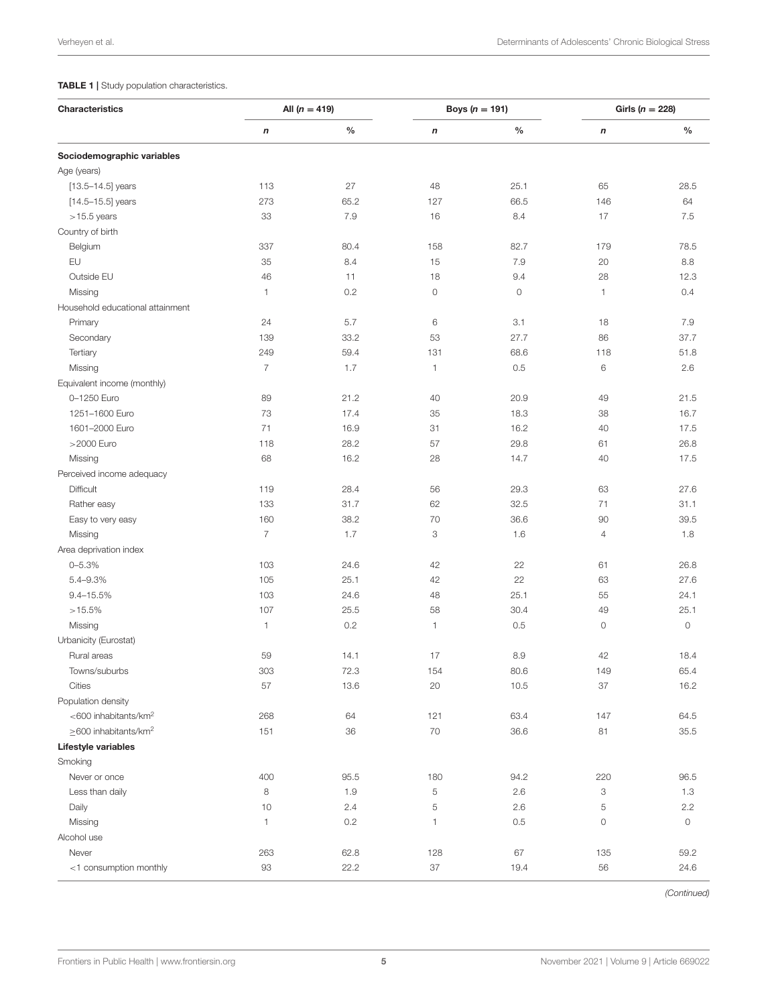#### <span id="page-5-0"></span>TABLE 1 | Study population characteristics.

| Characteristics                  | All $(n = 419)$  |               | Boys ( $n = 191$ )  |               | Girls ( $n = 228$ ) |                     |
|----------------------------------|------------------|---------------|---------------------|---------------|---------------------|---------------------|
|                                  | $\boldsymbol{n}$ | $\frac{0}{0}$ | $\pmb{n}$           | $\frac{0}{0}$ | $\boldsymbol{n}$    | $\frac{0}{0}$       |
| Sociodemographic variables       |                  |               |                     |               |                     |                     |
| Age (years)                      |                  |               |                     |               |                     |                     |
| $[13.5 - 14.5]$ years            | 113              | 27            | 48                  | 25.1          | 65                  | 28.5                |
| $[14.5 - 15.5]$ years            | 273              | 65.2          | 127                 | 66.5          | 146                 | 64                  |
| $>15.5$ years                    | 33               | 7.9           | 16                  | 8.4           | 17                  | 7.5                 |
| Country of birth                 |                  |               |                     |               |                     |                     |
| Belgium                          | 337              | 80.4          | 158                 | 82.7          | 179                 | 78.5                |
| EU                               | 35               | 8.4           | 15                  | 7.9           | 20                  | 8.8                 |
| Outside EU                       | 46               | 11            | 18                  | 9.4           | 28                  | 12.3                |
| Missing                          | 1                | 0.2           | $\mathsf{O}\xspace$ | 0             | 1                   | 0.4                 |
| Household educational attainment |                  |               |                     |               |                     |                     |
| Primary                          | 24               | 5.7           | 6                   | 3.1           | 18                  | 7.9                 |
| Secondary                        | 139              | 33.2          | 53                  | 27.7          | 86                  | 37.7                |
| Tertiary                         | 249              | 59.4          | 131                 | 68.6          | 118                 | 51.8                |
| Missing                          | $\overline{7}$   | 1.7           | $\mathbf{1}$        | 0.5           | 6                   | 2.6                 |
| Equivalent income (monthly)      |                  |               |                     |               |                     |                     |
| 0-1250 Euro                      | 89               | 21.2          | 40                  | 20.9          | 49                  | 21.5                |
| 1251-1600 Euro                   | 73               | 17.4          | 35                  | 18.3          | 38                  | 16.7                |
| 1601-2000 Euro                   | 71               | 16.9          | 31                  | 16.2          | 40                  | 17.5                |
| >2000 Euro                       | 118              | 28.2          | 57                  | 29.8          | 61                  | 26.8                |
|                                  | 68               | 16.2          | 28                  |               | 40                  |                     |
| Missing                          |                  |               |                     | 14.7          |                     | 17.5                |
| Perceived income adequacy        |                  |               |                     |               |                     |                     |
| Difficult                        | 119              | 28.4<br>31.7  | 56                  | 29.3          | 63<br>71            | 27.6                |
| Rather easy                      | 133              | 38.2          | 62                  | 32.5          |                     | 31.1<br>39.5        |
| Easy to very easy                | 160              |               | 70                  | 36.6          | 90                  |                     |
| Missing                          | $\overline{7}$   | 1.7           | 3                   | 1.6           | $\overline{4}$      | 1.8                 |
| Area deprivation index           |                  |               |                     |               |                     |                     |
| $0 - 5.3%$                       | 103              | 24.6          | 42                  | 22            | 61                  | 26.8                |
| 5.4-9.3%                         | 105              | 25.1          | 42                  | 22            | 63                  | 27.6                |
| $9.4 - 15.5%$                    | 103              | 24.6          | 48                  | 25.1          | 55                  | 24.1                |
| $>15.5\%$                        | 107              | 25.5          | 58                  | 30.4          | 49                  | 25.1                |
| Missing                          | 1                | 0.2           | 1                   | 0.5           | $\circ$             | $\mathsf{O}\xspace$ |
| Urbanicity (Eurostat)            |                  |               |                     |               |                     |                     |
| Rural areas                      | 59               | 14.1          | 17                  | 8.9           | 42                  | 18.4                |
| Towns/suburbs                    | 303              | 72.3          | 154                 | 80.6          | 149                 | 65.4                |
| Cities                           | 57               | 13.6          | 20                  | 10.5          | 37                  | 16.2                |
| Population density               |                  |               |                     |               |                     |                     |
| <600 inhabitants/km <sup>2</sup> | 268              | 64            | 121                 | 63.4          | 147                 | 64.5                |
| >600 inhabitants/km <sup>2</sup> | 151              | 36            | $70\,$              | 36.6          | 81                  | 35.5                |
| Lifestyle variables              |                  |               |                     |               |                     |                     |
| Smoking                          |                  |               |                     |               |                     |                     |
| Never or once                    | 400              | 95.5          | 180                 | 94.2          | 220                 | 96.5                |
| Less than daily                  | 8                | 1.9           | 5                   | 2.6           | 3                   | 1.3                 |
| Daily                            | 10               | 2.4           | 5                   | 2.6           | 5                   | 2.2                 |
| Missing                          | 1                | 0.2           | 1                   | 0.5           | $\circ$             | $\mathsf{O}\xspace$ |
| Alcohol use                      |                  |               |                     |               |                     |                     |
| Never                            | 263              | 62.8          | 128                 | 67            | 135                 | 59.2                |
| <1 consumption monthly           | 93               | 22.2          | 37                  | 19.4          | 56                  | 24.6                |

*(Continued)*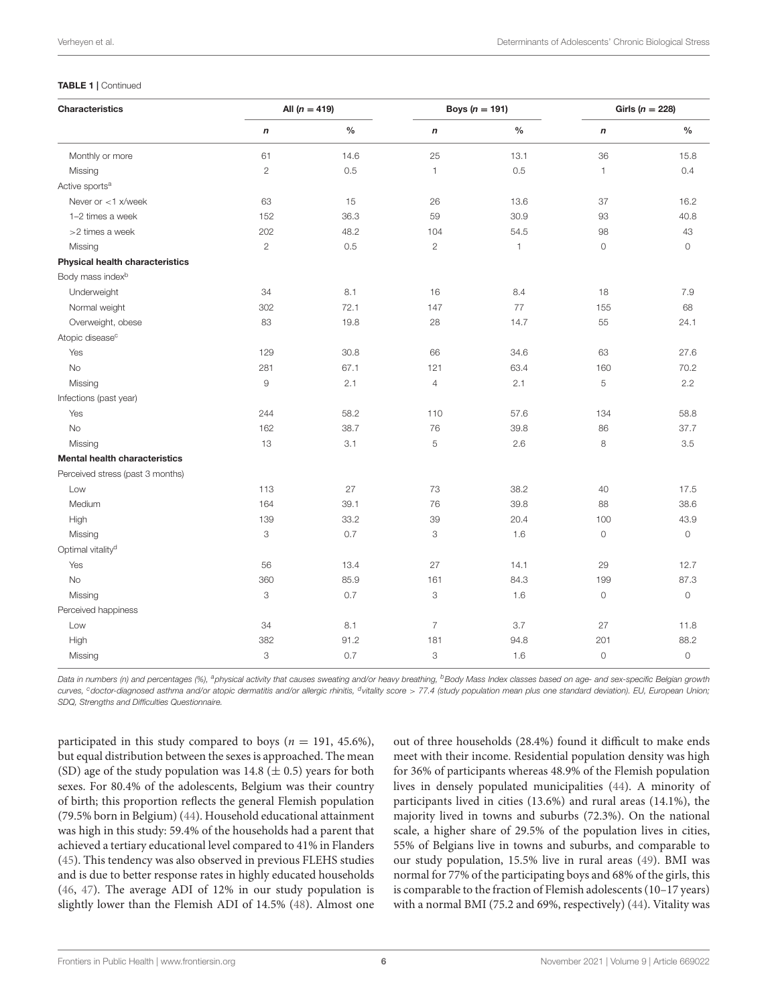#### TABLE 1 | Continued

| Characteristics                      | All $(n = 419)$     |               | Boys ( $n = 191$ )        |               | Girls ( $n = 228$ ) |         |
|--------------------------------------|---------------------|---------------|---------------------------|---------------|---------------------|---------|
|                                      | $\boldsymbol{n}$    | $\frac{0}{0}$ | $\boldsymbol{n}$          | $\frac{0}{0}$ | $\boldsymbol{n}$    | $\%$    |
| Monthly or more                      | 61                  | 14.6          | 25                        | 13.1          | 36                  | 15.8    |
| Missing                              | $\overline{c}$      | 0.5           | $\mathbf{1}$              | 0.5           | $\mathbf{1}$        | 0.4     |
| Active sports <sup>a</sup>           |                     |               |                           |               |                     |         |
| Never or $<$ 1 x/week                | 63                  | 15            | 26                        | 13.6          | 37                  | 16.2    |
| 1-2 times a week                     | 152                 | 36.3          | 59                        | 30.9          | 93                  | 40.8    |
| >2 times a week                      | 202                 | 48.2          | 104                       | 54.5          | 98                  | 43      |
| Missing                              | $\overline{c}$      | 0.5           | $\overline{c}$            | 1             | $\circ$             | 0       |
| Physical health characteristics      |                     |               |                           |               |                     |         |
| Body mass index <sup>b</sup>         |                     |               |                           |               |                     |         |
| Underweight                          | 34                  | 8.1           | 16                        | 8.4           | 18                  | 7.9     |
| Normal weight                        | 302                 | 72.1          | 147                       | 77            | 155                 | 68      |
| Overweight, obese                    | 83                  | 19.8          | 28                        | 14.7          | 55                  | 24.1    |
| Atopic disease <sup>c</sup>          |                     |               |                           |               |                     |         |
| Yes                                  | 129                 | 30.8          | 66                        | 34.6          | 63                  | 27.6    |
| <b>No</b>                            | 281                 | 67.1          | 121                       | 63.4          | 160                 | 70.2    |
| Missing                              | $\mathcal{G}% _{0}$ | 2.1           | $\overline{4}$            | 2.1           | 5                   | 2.2     |
| Infections (past year)               |                     |               |                           |               |                     |         |
| Yes                                  | 244                 | 58.2          | 110                       | 57.6          | 134                 | 58.8    |
| <b>No</b>                            | 162                 | 38.7          | 76                        | 39.8          | 86                  | 37.7    |
| Missing                              | 13                  | 3.1           | 5                         | 2.6           | 8                   | 3.5     |
| <b>Mental health characteristics</b> |                     |               |                           |               |                     |         |
| Perceived stress (past 3 months)     |                     |               |                           |               |                     |         |
| Low                                  | 113                 | 27            | 73                        | 38.2          | 40                  | 17.5    |
| Medium                               | 164                 | 39.1          | 76                        | 39.8          | 88                  | 38.6    |
| High                                 | 139                 | 33.2          | 39                        | 20.4          | 100                 | 43.9    |
| Missing                              | 3                   | 0.7           | 3                         | 1.6           | $\circ$             | 0       |
| Optimal vitality <sup>d</sup>        |                     |               |                           |               |                     |         |
| Yes                                  | 56                  | 13.4          | 27                        | 14.1          | 29                  | 12.7    |
| <b>No</b>                            | 360                 | 85.9          | 161                       | 84.3          | 199                 | 87.3    |
| Missing                              | 3                   | 0.7           | $\ensuremath{\mathsf{3}}$ | 1.6           | $\mathsf{O}\xspace$ | 0       |
| Perceived happiness                  |                     |               |                           |               |                     |         |
| Low                                  | 34                  | 8.1           | $\overline{7}$            | 3.7           | 27                  | 11.8    |
| High                                 | 382                 | 91.2          | 181                       | 94.8          | 201                 | 88.2    |
| Missing                              | 3                   | 0.7           | 3                         | 1.6           | $\circ$             | $\circ$ |

*Data in numbers (n) and percentages (%), <sup>a</sup>physical activity that causes sweating and/or heavy breathing, <sup>b</sup>Body Mass Index classes based on age- and sex-specific Belgian growth* curves, <sup>c</sup>doctor-diagnosed asthma and/or atopic dermatitis and/or allergic rhinitis, <sup>d</sup>vitality score > 77.4 (study population mean plus one standard deviation). EU, European Union; *SDQ, Strengths and Difficulties Questionnaire.*

participated in this study compared to boys ( $n = 191, 45.6\%$ ), but equal distribution between the sexes is approached. The mean (SD) age of the study population was 14.8 ( $\pm$  0.5) years for both sexes. For 80.4% of the adolescents, Belgium was their country of birth; this proportion reflects the general Flemish population (79.5% born in Belgium) [\(44\)](#page-13-17). Household educational attainment was high in this study: 59.4% of the households had a parent that achieved a tertiary educational level compared to 41% in Flanders [\(45\)](#page-13-18). This tendency was also observed in previous FLEHS studies and is due to better response rates in highly educated households [\(46,](#page-13-19) [47\)](#page-13-20). The average ADI of 12% in our study population is slightly lower than the Flemish ADI of 14.5% [\(48\)](#page-13-21). Almost one out of three households (28.4%) found it difficult to make ends meet with their income. Residential population density was high for 36% of participants whereas 48.9% of the Flemish population lives in densely populated municipalities [\(44\)](#page-13-17). A minority of participants lived in cities (13.6%) and rural areas (14.1%), the majority lived in towns and suburbs (72.3%). On the national scale, a higher share of 29.5% of the population lives in cities, 55% of Belgians live in towns and suburbs, and comparable to our study population, 15.5% live in rural areas [\(49\)](#page-13-22). BMI was normal for 77% of the participating boys and 68% of the girls, this is comparable to the fraction of Flemish adolescents (10–17 years) with a normal BMI (75.2 and 69%, respectively) [\(44\)](#page-13-17). Vitality was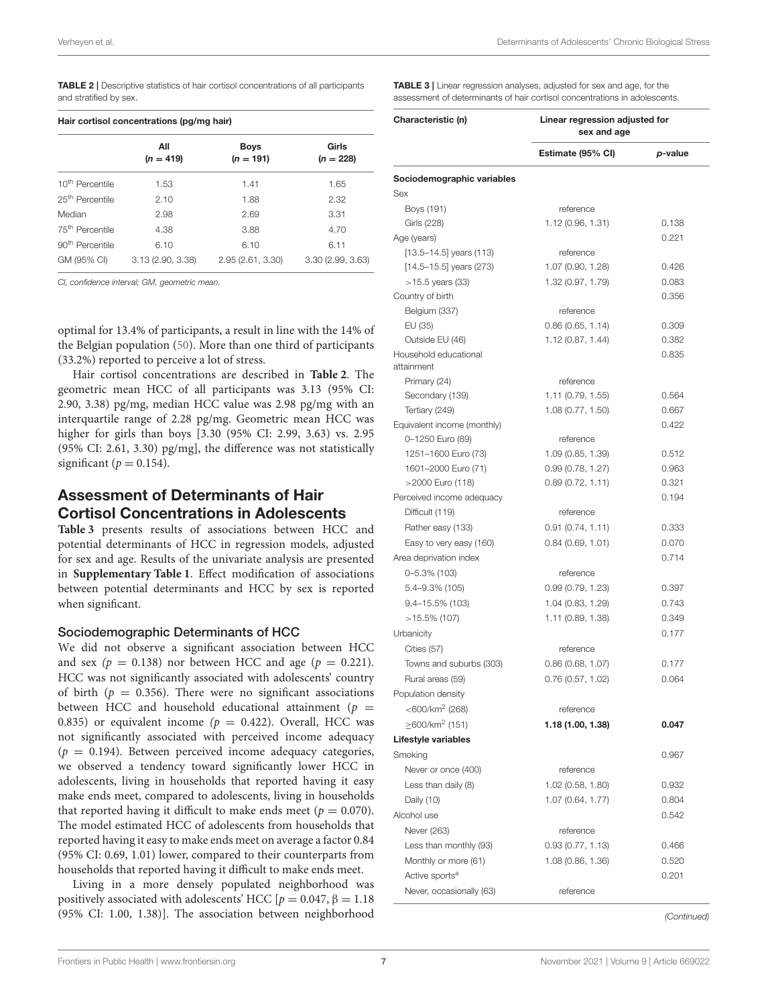<span id="page-7-0"></span>TABLE 2 | Descriptive statistics of hair cortisol concentrations of all participants and stratified by sex.

| Hair cortisol concentrations (pg/mg hair) |                    |                            |                      |  |  |
|-------------------------------------------|--------------------|----------------------------|----------------------|--|--|
|                                           | All<br>$(n = 419)$ | <b>Boys</b><br>$(n = 191)$ | Girls<br>$(n = 228)$ |  |  |
| 10 <sup>th</sup> Percentile               | 1.53               | 1.41                       | 1.65                 |  |  |
| 25 <sup>th</sup> Percentile               | 2.10               | 1.88                       | 2.32                 |  |  |
| Median                                    | 2.98               | 2.69                       | 3.31                 |  |  |
| 75 <sup>th</sup> Percentile               | 4.38               | 3.88                       | 4.70                 |  |  |
| 90 <sup>th</sup> Percentile               | 6.10               | 6.10                       | 6.11                 |  |  |
| GM (95% CI)                               | 3.13(2.90, 3.38)   | 2.95 (2.61, 3.30)          | 3.30 (2.99, 3.63)    |  |  |

*CI, confidence interval; GM, geometric mean.*

optimal for 13.4% of participants, a result in line with the 14% of the Belgian population [\(50\)](#page-13-23). More than one third of participants (33.2%) reported to perceive a lot of stress.

Hair cortisol concentrations are described in **[Table 2](#page-7-0)**. The geometric mean HCC of all participants was 3.13 (95% CI: 2.90, 3.38) pg/mg, median HCC value was 2.98 pg/mg with an interquartile range of 2.28 pg/mg. Geometric mean HCC was higher for girls than boys [3.30 (95% CI: 2.99, 3.63) vs. 2.95 (95% CI: 2.61, 3.30) pg/mg], the difference was not statistically significant ( $p = 0.154$ ).

# Assessment of Determinants of Hair Cortisol Concentrations in Adolescents

**[Table 3](#page-7-1)** presents results of associations between HCC and potential determinants of HCC in regression models, adjusted for sex and age. Results of the univariate analysis are presented in **[Supplementary Table 1](#page-12-23)**. Effect modification of associations between potential determinants and HCC by sex is reported when significant.

#### Sociodemographic Determinants of HCC

We did not observe a significant association between HCC and sex ( $p = 0.138$ ) nor between HCC and age ( $p = 0.221$ ). HCC was not significantly associated with adolescents' country of birth ( $p = 0.356$ ). There were no significant associations between HCC and household educational attainment ( $p =$ 0.835) or equivalent income ( $p = 0.422$ ). Overall, HCC was not significantly associated with perceived income adequacy  $(p = 0.194)$ . Between perceived income adequacy categories, we observed a tendency toward significantly lower HCC in adolescents, living in households that reported having it easy make ends meet, compared to adolescents, living in households that reported having it difficult to make ends meet ( $p = 0.070$ ). The model estimated HCC of adolescents from households that reported having it easy to make ends meet on average a factor 0.84 (95% CI: 0.69, 1.01) lower, compared to their counterparts from households that reported having it difficult to make ends meet.

Living in a more densely populated neighborhood was positively associated with adolescents' HCC  $[p = 0.047, \beta = 1.18]$ (95% CI: 1.00, 1.38)]. The association between neighborhood <span id="page-7-1"></span>TABLE 3 | Linear regression analyses, adjusted for sex and age, for the assessment of determinants of hair cortisol concentrations in adolese

| Characteristic (n)            | Linear regression adjusted for<br>sex and age |         |  |  |
|-------------------------------|-----------------------------------------------|---------|--|--|
|                               | Estimate (95% CI)                             | p-value |  |  |
| Sociodemographic variables    |                                               |         |  |  |
| Sex                           |                                               |         |  |  |
| Boys (191)                    | reference                                     |         |  |  |
| Girls (228)                   | 1.12 (0.96, 1.31)                             | 0.138   |  |  |
| Age (years)                   |                                               | 0.221   |  |  |
| $[13.5 - 14.5]$ years $(113)$ | reference                                     |         |  |  |
| $[14.5 - 15.5]$ years (273)   | 1.07 (0.90, 1.28)                             | 0.426   |  |  |
| $>15.5$ years (33)            | 1.32 (0.97, 1.79)                             | 0.083   |  |  |
| Country of birth              |                                               | 0.356   |  |  |
| Belgium (337)                 | reference                                     |         |  |  |
| EU (35)                       | 0.86(0.65, 1.14)                              | 0.309   |  |  |
| Outside EU (46)               | 1.12 (0.87, 1.44)                             | 0.382   |  |  |
| Household educational         |                                               | 0.835   |  |  |
| attainment                    |                                               |         |  |  |
| Primary (24)                  | reference                                     |         |  |  |
| Secondary (139)               | 1.11 (0.79, 1.55)                             | 0.564   |  |  |
| Tertiary (249)                | 1.08 (0.77, 1.50)                             | 0.667   |  |  |
| Equivalent income (monthly)   |                                               | 0.422   |  |  |
| 0-1250 Euro (89)              | reference                                     |         |  |  |
| 1251-1600 Euro (73)           | 1.09 (0.85, 1.39)                             | 0.512   |  |  |
| 1601-2000 Euro (71)           | 0.99(0.78, 1.27)                              | 0.963   |  |  |
| >2000 Euro (118)              | 0.89(0.72, 1.11)                              | 0.321   |  |  |
| Perceived income adequacy     |                                               | 0.194   |  |  |
| Difficult (119)               | reference                                     |         |  |  |
| Rather easy (133)             | 0.91(0.74, 1.11)                              | 0.333   |  |  |
| Easy to very easy (160)       | 0.84(0.69, 1.01)                              | 0.070   |  |  |
| Area deprivation index        |                                               | 0.714   |  |  |
| $0 - 5.3\%$ (103)             | reference                                     |         |  |  |
| 5.4–9.3% (105)                | 0.99(0.79, 1.23)                              | 0.397   |  |  |
| $9.4 - 15.5\%$ (103)          | 1.04 (0.83, 1.29)                             | 0.743   |  |  |
| $>15.5\%$ (107)               | 1.11 (0.89, 1.38)                             | 0.349   |  |  |
| Urbanicity                    |                                               | 0.177   |  |  |
| Cities (57)                   | reference                                     |         |  |  |
| Towns and suburbs (303)       | 0.86(0.68, 1.07)                              | 0.177   |  |  |
| Rural areas (59)              | 0.76(0.57, 1.02)                              | 0.064   |  |  |
| Population density            |                                               |         |  |  |
| $<$ 600/km <sup>2</sup> (268) | reference                                     |         |  |  |
| $>600/km^2$ (151)             | 1.18 (1.00, 1.38)                             | 0.047   |  |  |
| Lifestyle variables           |                                               |         |  |  |
|                               |                                               |         |  |  |
| Smoking                       |                                               | 0.967   |  |  |
| Never or once (400)           | reference                                     |         |  |  |
| Less than daily (8)           | 1.02 (0.58, 1.80)                             | 0.932   |  |  |
| Daily (10)                    | 1.07 (0.64, 1.77)                             | 0.804   |  |  |
| Alcohol use                   |                                               | 0.542   |  |  |
| Never (263)                   | reference                                     |         |  |  |
| Less than monthly (93)        | 0.93(0.77, 1.13)                              | 0.466   |  |  |
| Monthly or more (61)          | 1.08 (0.86, 1.36)                             | 0.520   |  |  |
| Active sports <sup>a</sup>    |                                               | 0.201   |  |  |
| Never, occasionally (63)      | reference                                     |         |  |  |

*(Continued)*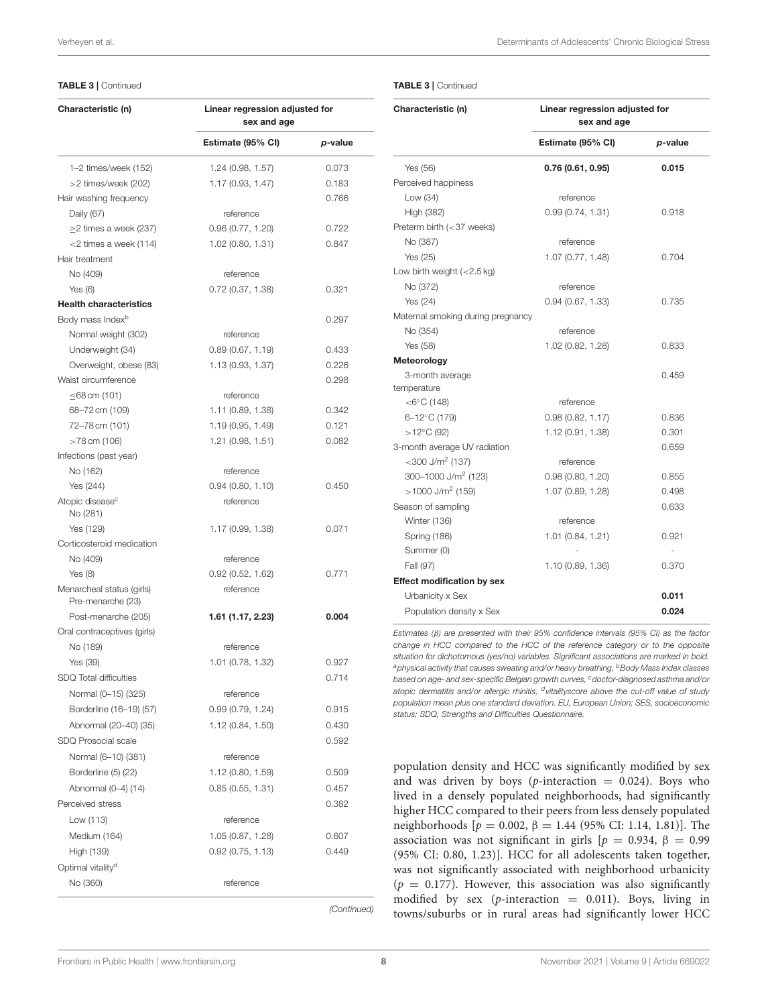#### TABLE 3 | Continued

| Characteristic (n)                             | Linear regression adjusted for<br>sex and age |         |  |
|------------------------------------------------|-----------------------------------------------|---------|--|
|                                                | Estimate (95% CI)                             | p-value |  |
| 1-2 times/week (152)                           | 1.24(0.98, 1.57)                              | 0.073   |  |
| >2 times/week (202)                            | 1.17(0.93, 1.47)                              | 0.183   |  |
| Hair washing frequency                         |                                               | 0.766   |  |
| Daily (67)                                     | reference                                     |         |  |
| $\geq$ 2 times a week (237)                    | 0.96(0.77, 1.20)                              | 0.722   |  |
| $<$ 2 times a week (114)                       | 1.02 (0.80, 1.31)                             | 0.847   |  |
| Hair treatment                                 |                                               |         |  |
| No (409)                                       | reference                                     |         |  |
| Yes $(6)$                                      | 0.72(0.37, 1.38)                              | 0.321   |  |
| <b>Health characteristics</b>                  |                                               |         |  |
| Body mass Index <sup>b</sup>                   |                                               | 0.297   |  |
| Normal weight (302)                            | reference                                     |         |  |
| Underweight (34)                               | 0.89(0.67, 1.19)                              | 0.433   |  |
| Overweight, obese (83)                         | 1.13 (0.93, 1.37)                             | 0.226   |  |
| Waist circumference                            |                                               | 0.298   |  |
| ≤68 cm (101)                                   | reference                                     |         |  |
| 68-72 cm (109)                                 | 1.11 (0.89, 1.38)                             | 0.342   |  |
| 72-78 cm (101)                                 | 1.19 (0.95, 1.49)                             | 0.121   |  |
| >78 cm (106)                                   | 1.21 (0.98, 1.51)                             | 0.082   |  |
| Infections (past year)                         |                                               |         |  |
| No (162)                                       | reference                                     |         |  |
| Yes (244)                                      | 0.94(0.80, 1.10)                              | 0.450   |  |
| Atopic disease <sup>c</sup><br>No (281)        | reference                                     |         |  |
| Yes (129)                                      | 1.17 (0.99, 1.38)                             | 0.071   |  |
| Corticosteroid medication                      |                                               |         |  |
| No (409)                                       | reference                                     |         |  |
| Yes $(8)$                                      | 0.92(0.52, 1.62)                              | 0.771   |  |
| Menarcheal status (girls)<br>Pre-menarche (23) | reference                                     |         |  |
| Post-menarche (205)                            | 1.61 (1.17, 2.23)                             | 0.004   |  |
| Oral contraceptives (girls)                    |                                               |         |  |
| No (189)                                       | reference                                     |         |  |
| Yes (39)                                       | 1.01 (0.78, 1.32)                             | 0.927   |  |
| <b>SDQ Total difficulties</b>                  |                                               | 0.714   |  |
| Normal (0-15) (325)                            | reference                                     |         |  |
| Borderline (16-19) (57)                        | 0.99(0.79, 1.24)                              | 0.915   |  |
| Abnormal (20–40) (35)                          | 1.12 (0.84, 1.50)                             | 0.430   |  |
| SDQ Prosocial scale                            |                                               | 0.592   |  |
| Normal (6-10) (381)                            | reference                                     |         |  |
| Borderline (5) (22)                            | 1.12 (0.80, 1.59)                             | 0.509   |  |
| Abnormal (0-4) (14)                            | 0.85(0.55, 1.31)                              | 0.457   |  |
| Perceived stress                               |                                               | 0.382   |  |
|                                                | reference                                     |         |  |
| Low (113)                                      |                                               |         |  |
| Medium (164)                                   | 1.05 (0.87, 1.28)                             | 0.607   |  |
| High (139)                                     | 0.92 (0.75, 1.13)                             | 0.449   |  |
| Optimal vitality <sup>d</sup>                  |                                               |         |  |
| No (360)                                       | reference                                     |         |  |

Verheyen et al. Determinants of Adolescents' Chronic Biological Stress

#### TABLE 3 | Continued

| Characteristic (n)                | Linear regression adjusted for<br>sex and age |         |  |
|-----------------------------------|-----------------------------------------------|---------|--|
|                                   | Estimate (95% CI)                             | p-value |  |
| Yes (56)                          | 0.76(0.61, 0.95)                              | 0.015   |  |
| Perceived happiness               |                                               |         |  |
| Low (34)                          | reference                                     |         |  |
| High (382)                        | 0.99(0.74, 1.31)                              | 0.918   |  |
| Preterm birth (<37 weeks)         |                                               |         |  |
| No (387)                          | reference                                     |         |  |
| Yes (25)                          | 1.07 (0.77, 1.48)                             | 0.704   |  |
| Low birth weight $(<2.5$ kg)      |                                               |         |  |
| No (372)                          | reference                                     |         |  |
| Yes $(24)$                        | 0.94(0.67, 1.33)                              | 0.735   |  |
| Maternal smoking during pregnancy |                                               |         |  |
| No (354)                          | reference                                     |         |  |
| Yes (58)                          | 1.02 (0.82, 1.28)                             | 0.833   |  |
| Meteorology                       |                                               |         |  |
| 3-month average                   |                                               | 0.459   |  |
| temperature                       |                                               |         |  |
| $<$ 6 $\degree$ C (148)           | reference                                     |         |  |
| 6-12°C (179)                      | 0.98(0.82, 1.17)                              | 0.836   |  |
| $>12^{\circ}$ C (92)              | 1.12 (0.91, 1.38)                             | 0.301   |  |
| 3-month average UV radiation      |                                               | 0.659   |  |
| $<$ 300 J/m <sup>2</sup> (137)    | reference                                     |         |  |
| 300-1000 J/m <sup>2</sup> (123)   | 0.98(0.80, 1.20)                              | 0.855   |  |
| $>1000$ J/m <sup>2</sup> (159)    | 1.07 (0.89, 1.28)                             | 0.498   |  |
| Season of sampling                |                                               | 0.633   |  |
| Winter (136)                      | reference                                     |         |  |
| Spring (186)                      | 1.01 (0.84, 1.21)                             | 0.921   |  |
| Summer (0)                        |                                               |         |  |
| Fall (97)                         | 1.10 (0.89, 1.36)                             | 0.370   |  |
| <b>Effect modification by sex</b> |                                               |         |  |
| Urbanicity x Sex                  |                                               | 0.011   |  |
| Population density x Sex          |                                               | 0.024   |  |

*Estimates (*β*) are presented with their 95% confidence intervals (95% CI) as the factor change in HCC compared to the HCC of the reference category or to the opposite situation for dichotomous (yes/no) variables. Significant associations are marked in bold. <sup>a</sup>physical activity that causes sweating and/or heavy breathing, <sup>b</sup>Body Mass Index classes based on age- and sex-specific Belgian growth curves, <sup>c</sup>doctor-diagnosed asthma and/or atopic dermatitis and/or allergic rhinitis, <sup>d</sup> vitalityscore above the cut-off value of study population mean plus one standard deviation. EU, European Union; SES, socioeconomic status; SDQ, Strengths and Difficulties Questionnaire.*

population density and HCC was significantly modified by sex and was driven by boys ( $p$ -interaction = 0.024). Boys who lived in a densely populated neighborhoods, had significantly higher HCC compared to their peers from less densely populated neighborhoods [ $p = 0.002$ , β = 1.44 (95% CI: 1.14, 1.81)]. The association was not significant in girls  $[p = 0.934, \beta = 0.99]$ (95% CI: 0.80, 1.23)]. HCC for all adolescents taken together, was not significantly associated with neighborhood urbanicity  $(p = 0.177)$ . However, this association was also significantly modified by sex (p-interaction  $= 0.011$ ). Boys, living in towns/suburbs or in rural areas had significantly lower HCC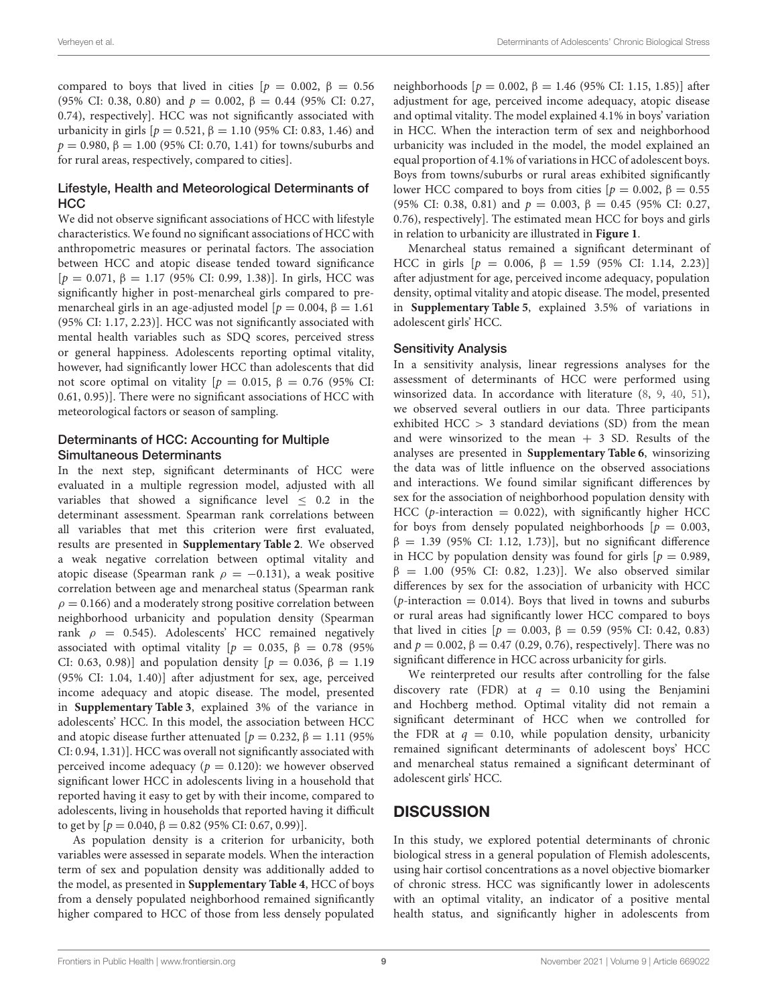compared to boys that lived in cities  $[p = 0.002, \beta = 0.56]$ (95% CI: 0.38, 0.80) and  $p = 0.002$ ,  $\beta = 0.44$  (95% CI: 0.27, 0.74), respectively]. HCC was not significantly associated with urbanicity in girls [ $p = 0.521$ , β = 1.10 (95% CI: 0.83, 1.46) and  $p = 0.980, \beta = 1.00$  (95% CI: 0.70, 1.41) for towns/suburbs and for rural areas, respectively, compared to cities].

#### Lifestyle, Health and Meteorological Determinants of **HCC**

We did not observe significant associations of HCC with lifestyle characteristics. We found no significant associations of HCC with anthropometric measures or perinatal factors. The association between HCC and atopic disease tended toward significance  $[p = 0.071, \beta = 1.17 (95\% \text{ CI: } 0.99, 1.38)]$ . In girls, HCC was significantly higher in post-menarcheal girls compared to premenarcheal girls in an age-adjusted model [ $p = 0.004$ ,  $\beta = 1.61$ ] (95% CI: 1.17, 2.23)]. HCC was not significantly associated with mental health variables such as SDQ scores, perceived stress or general happiness. Adolescents reporting optimal vitality, however, had significantly lower HCC than adolescents that did not score optimal on vitality [ $p = 0.015$ , β = 0.76 (95% CI: 0.61, 0.95)]. There were no significant associations of HCC with meteorological factors or season of sampling.

#### Determinants of HCC: Accounting for Multiple Simultaneous Determinants

In the next step, significant determinants of HCC were evaluated in a multiple regression model, adjusted with all variables that showed a significance level  $\leq$  0.2 in the determinant assessment. Spearman rank correlations between all variables that met this criterion were first evaluated, results are presented in **[Supplementary Table 2](#page-12-23)**. We observed a weak negative correlation between optimal vitality and atopic disease (Spearman rank  $\rho = -0.131$ ), a weak positive correlation between age and menarcheal status (Spearman rank  $\rho = 0.166$ ) and a moderately strong positive correlation between neighborhood urbanicity and population density (Spearman rank  $\rho = 0.545$ ). Adolescents' HCC remained negatively associated with optimal vitality [ $p = 0.035$ ,  $\beta = 0.78$  (95%) CI: 0.63, 0.98)] and population density [ $p = 0.036, β = 1.19$ (95% CI: 1.04, 1.40)] after adjustment for sex, age, perceived income adequacy and atopic disease. The model, presented in **[Supplementary Table 3](#page-12-23)**, explained 3% of the variance in adolescents' HCC. In this model, the association between HCC and atopic disease further attenuated  $[p = 0.232, \beta = 1.11, (95\%)$ CI: 0.94, 1.31)]. HCC was overall not significantly associated with perceived income adequacy ( $p = 0.120$ ): we however observed significant lower HCC in adolescents living in a household that reported having it easy to get by with their income, compared to adolescents, living in households that reported having it difficult to get by  $[p = 0.040, \beta = 0.82$  (95% CI: 0.67, 0.99)].

As population density is a criterion for urbanicity, both variables were assessed in separate models. When the interaction term of sex and population density was additionally added to the model, as presented in **[Supplementary Table 4](#page-12-23)**, HCC of boys from a densely populated neighborhood remained significantly higher compared to HCC of those from less densely populated neighborhoods [ $p = 0.002$ , β = 1.46 (95% CI: 1.15, 1.85)] after adjustment for age, perceived income adequacy, atopic disease and optimal vitality. The model explained 4.1% in boys' variation in HCC. When the interaction term of sex and neighborhood urbanicity was included in the model, the model explained an equal proportion of 4.1% of variations in HCC of adolescent boys. Boys from towns/suburbs or rural areas exhibited significantly lower HCC compared to boys from cities  $[p = 0.002, \beta = 0.55]$ (95% CI: 0.38, 0.81) and  $p = 0.003$ ,  $\beta = 0.45$  (95% CI: 0.27, 0.76), respectively]. The estimated mean HCC for boys and girls in relation to urbanicity are illustrated in **[Figure 1](#page-10-0)**.

Menarcheal status remained a significant determinant of HCC in girls  $[p = 0.006, β = 1.59 (95% CI: 1.14, 2.23)]$ after adjustment for age, perceived income adequacy, population density, optimal vitality and atopic disease. The model, presented in **[Supplementary Table 5](#page-12-23)**, explained 3.5% of variations in adolescent girls' HCC.

#### Sensitivity Analysis

In a sensitivity analysis, linear regressions analyses for the assessment of determinants of HCC were performed using winsorized data. In accordance with literature [\(8,](#page-12-7) [9,](#page-12-8) [40,](#page-13-14) [51\)](#page-13-24), we observed several outliers in our data. Three participants exhibited  $HCC > 3$  standard deviations (SD) from the mean and were winsorized to the mean  $+$  3 SD. Results of the analyses are presented in **[Supplementary Table 6](#page-12-23)**, winsorizing the data was of little influence on the observed associations and interactions. We found similar significant differences by sex for the association of neighborhood population density with HCC (*p*-interaction = 0.022), with significantly higher HCC for boys from densely populated neighborhoods  $[p = 0.003,$  $β = 1.39$  (95% CI: 1.12, 1.73)], but no significant difference in HCC by population density was found for girls  $[p = 0.989,$  $β = 1.00$  (95% CI: 0.82, 1.23)]. We also observed similar differences by sex for the association of urbanicity with HCC (*p*-interaction = 0.014). Boys that lived in towns and suburbs or rural areas had significantly lower HCC compared to boys that lived in cities [ $p = 0.003$ , β = 0.59 (95% CI: 0.42, 0.83) and  $p = 0.002$ ,  $\beta = 0.47$  (0.29, 0.76), respectively]. There was no significant difference in HCC across urbanicity for girls.

We reinterpreted our results after controlling for the false discovery rate (FDR) at  $q = 0.10$  using the Benjamini and Hochberg method. Optimal vitality did not remain a significant determinant of HCC when we controlled for the FDR at  $q = 0.10$ , while population density, urbanicity remained significant determinants of adolescent boys' HCC and menarcheal status remained a significant determinant of adolescent girls' HCC.

# **DISCUSSION**

In this study, we explored potential determinants of chronic biological stress in a general population of Flemish adolescents, using hair cortisol concentrations as a novel objective biomarker of chronic stress. HCC was significantly lower in adolescents with an optimal vitality, an indicator of a positive mental health status, and significantly higher in adolescents from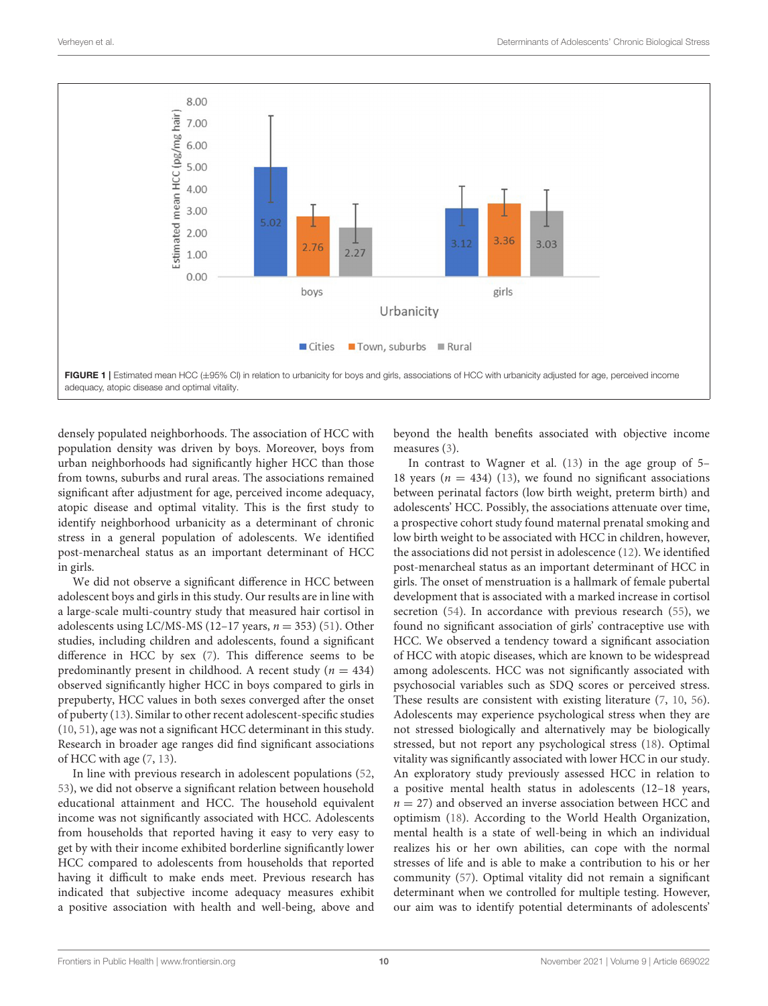

<span id="page-10-0"></span>densely populated neighborhoods. The association of HCC with population density was driven by boys. Moreover, boys from urban neighborhoods had significantly higher HCC than those from towns, suburbs and rural areas. The associations remained significant after adjustment for age, perceived income adequacy, atopic disease and optimal vitality. This is the first study to identify neighborhood urbanicity as a determinant of chronic stress in a general population of adolescents. We identified post-menarcheal status as an important determinant of HCC in girls.

We did not observe a significant difference in HCC between adolescent boys and girls in this study. Our results are in line with a large-scale multi-country study that measured hair cortisol in adolescents using LC/MS-MS (12–17 years,  $n = 353$ ) [\(51\)](#page-13-24). Other studies, including children and adolescents, found a significant difference in HCC by sex [\(7\)](#page-12-6). This difference seems to be predominantly present in childhood. A recent study ( $n = 434$ ) observed significantly higher HCC in boys compared to girls in prepuberty, HCC values in both sexes converged after the onset of puberty [\(13\)](#page-12-24). Similar to other recent adolescent-specific studies [\(10,](#page-12-9) [51\)](#page-13-24), age was not a significant HCC determinant in this study. Research in broader age ranges did find significant associations of HCC with age [\(7,](#page-12-6) [13\)](#page-12-24).

In line with previous research in adolescent populations [\(52,](#page-13-25) [53\)](#page-13-26), we did not observe a significant relation between household educational attainment and HCC. The household equivalent income was not significantly associated with HCC. Adolescents from households that reported having it easy to very easy to get by with their income exhibited borderline significantly lower HCC compared to adolescents from households that reported having it difficult to make ends meet. Previous research has indicated that subjective income adequacy measures exhibit a positive association with health and well-being, above and beyond the health benefits associated with objective income measures [\(3\)](#page-12-2).

In contrast to Wagner et al. [\(13\)](#page-12-24) in the age group of 5– 18 years ( $n = 434$ ) [\(13\)](#page-12-24), we found no significant associations between perinatal factors (low birth weight, preterm birth) and adolescents' HCC. Possibly, the associations attenuate over time, a prospective cohort study found maternal prenatal smoking and low birth weight to be associated with HCC in children, however, the associations did not persist in adolescence [\(12\)](#page-12-25). We identified post-menarcheal status as an important determinant of HCC in girls. The onset of menstruation is a hallmark of female pubertal development that is associated with a marked increase in cortisol secretion [\(54\)](#page-13-27). In accordance with previous research [\(55\)](#page-13-28), we found no significant association of girls' contraceptive use with HCC. We observed a tendency toward a significant association of HCC with atopic diseases, which are known to be widespread among adolescents. HCC was not significantly associated with psychosocial variables such as SDQ scores or perceived stress. These results are consistent with existing literature [\(7,](#page-12-6) [10,](#page-12-9) [56\)](#page-13-29). Adolescents may experience psychological stress when they are not stressed biologically and alternatively may be biologically stressed, but not report any psychological stress [\(18\)](#page-12-15). Optimal vitality was significantly associated with lower HCC in our study. An exploratory study previously assessed HCC in relation to a positive mental health status in adolescents (12–18 years,  $n = 27$ ) and observed an inverse association between HCC and optimism [\(18\)](#page-12-15). According to the World Health Organization, mental health is a state of well-being in which an individual realizes his or her own abilities, can cope with the normal stresses of life and is able to make a contribution to his or her community [\(57\)](#page-13-30). Optimal vitality did not remain a significant determinant when we controlled for multiple testing. However, our aim was to identify potential determinants of adolescents'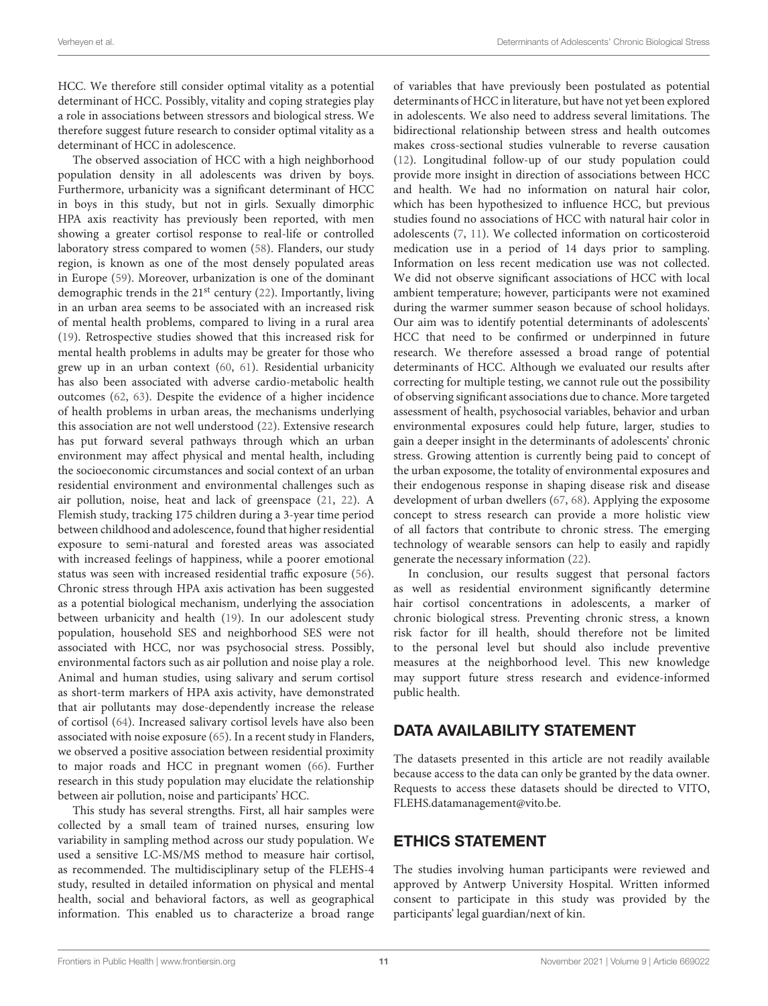HCC. We therefore still consider optimal vitality as a potential determinant of HCC. Possibly, vitality and coping strategies play a role in associations between stressors and biological stress. We therefore suggest future research to consider optimal vitality as a determinant of HCC in adolescence.

The observed association of HCC with a high neighborhood population density in all adolescents was driven by boys. Furthermore, urbanicity was a significant determinant of HCC in boys in this study, but not in girls. Sexually dimorphic HPA axis reactivity has previously been reported, with men showing a greater cortisol response to real-life or controlled laboratory stress compared to women [\(58\)](#page-13-31). Flanders, our study region, is known as one of the most densely populated areas in Europe [\(59\)](#page-13-32). Moreover, urbanization is one of the dominant demographic trends in the 21<sup>st</sup> century [\(22\)](#page-12-19). Importantly, living in an urban area seems to be associated with an increased risk of mental health problems, compared to living in a rural area [\(19\)](#page-12-16). Retrospective studies showed that this increased risk for mental health problems in adults may be greater for those who grew up in an urban context [\(60,](#page-13-33) [61\)](#page-13-34). Residential urbanicity has also been associated with adverse cardio-metabolic health outcomes [\(62,](#page-13-35) [63\)](#page-13-36). Despite the evidence of a higher incidence of health problems in urban areas, the mechanisms underlying this association are not well understood [\(22\)](#page-12-19). Extensive research has put forward several pathways through which an urban environment may affect physical and mental health, including the socioeconomic circumstances and social context of an urban residential environment and environmental challenges such as air pollution, noise, heat and lack of greenspace [\(21,](#page-12-18) [22\)](#page-12-19). A Flemish study, tracking 175 children during a 3-year time period between childhood and adolescence, found that higher residential exposure to semi-natural and forested areas was associated with increased feelings of happiness, while a poorer emotional status was seen with increased residential traffic exposure [\(56\)](#page-13-29). Chronic stress through HPA axis activation has been suggested as a potential biological mechanism, underlying the association between urbanicity and health [\(19\)](#page-12-16). In our adolescent study population, household SES and neighborhood SES were not associated with HCC, nor was psychosocial stress. Possibly, environmental factors such as air pollution and noise play a role. Animal and human studies, using salivary and serum cortisol as short-term markers of HPA axis activity, have demonstrated that air pollutants may dose-dependently increase the release of cortisol [\(64\)](#page-14-0). Increased salivary cortisol levels have also been associated with noise exposure [\(65\)](#page-14-1). In a recent study in Flanders, we observed a positive association between residential proximity to major roads and HCC in pregnant women [\(66\)](#page-14-2). Further research in this study population may elucidate the relationship between air pollution, noise and participants' HCC.

This study has several strengths. First, all hair samples were collected by a small team of trained nurses, ensuring low variability in sampling method across our study population. We used a sensitive LC-MS/MS method to measure hair cortisol, as recommended. The multidisciplinary setup of the FLEHS-4 study, resulted in detailed information on physical and mental health, social and behavioral factors, as well as geographical information. This enabled us to characterize a broad range of variables that have previously been postulated as potential determinants of HCC in literature, but have not yet been explored in adolescents. We also need to address several limitations. The bidirectional relationship between stress and health outcomes makes cross-sectional studies vulnerable to reverse causation [\(12\)](#page-12-25). Longitudinal follow-up of our study population could provide more insight in direction of associations between HCC and health. We had no information on natural hair color, which has been hypothesized to influence HCC, but previous studies found no associations of HCC with natural hair color in adolescents [\(7,](#page-12-6) [11\)](#page-12-10). We collected information on corticosteroid medication use in a period of 14 days prior to sampling. Information on less recent medication use was not collected. We did not observe significant associations of HCC with local ambient temperature; however, participants were not examined during the warmer summer season because of school holidays. Our aim was to identify potential determinants of adolescents' HCC that need to be confirmed or underpinned in future research. We therefore assessed a broad range of potential determinants of HCC. Although we evaluated our results after correcting for multiple testing, we cannot rule out the possibility of observing significant associations due to chance. More targeted assessment of health, psychosocial variables, behavior and urban environmental exposures could help future, larger, studies to gain a deeper insight in the determinants of adolescents' chronic stress. Growing attention is currently being paid to concept of the urban exposome, the totality of environmental exposures and their endogenous response in shaping disease risk and disease development of urban dwellers [\(67,](#page-14-3) [68\)](#page-14-4). Applying the exposome concept to stress research can provide a more holistic view of all factors that contribute to chronic stress. The emerging technology of wearable sensors can help to easily and rapidly generate the necessary information [\(22\)](#page-12-19).

In conclusion, our results suggest that personal factors as well as residential environment significantly determine hair cortisol concentrations in adolescents, a marker of chronic biological stress. Preventing chronic stress, a known risk factor for ill health, should therefore not be limited to the personal level but should also include preventive measures at the neighborhood level. This new knowledge may support future stress research and evidence-informed public health.

# DATA AVAILABILITY STATEMENT

The datasets presented in this article are not readily available because access to the data can only be granted by the data owner. Requests to access these datasets should be directed to VITO, [FLEHS.datamanagement@vito.be.](mailto:FLEHS.datamanagement@vito.be)

# ETHICS STATEMENT

The studies involving human participants were reviewed and approved by Antwerp University Hospital. Written informed consent to participate in this study was provided by the participants' legal guardian/next of kin.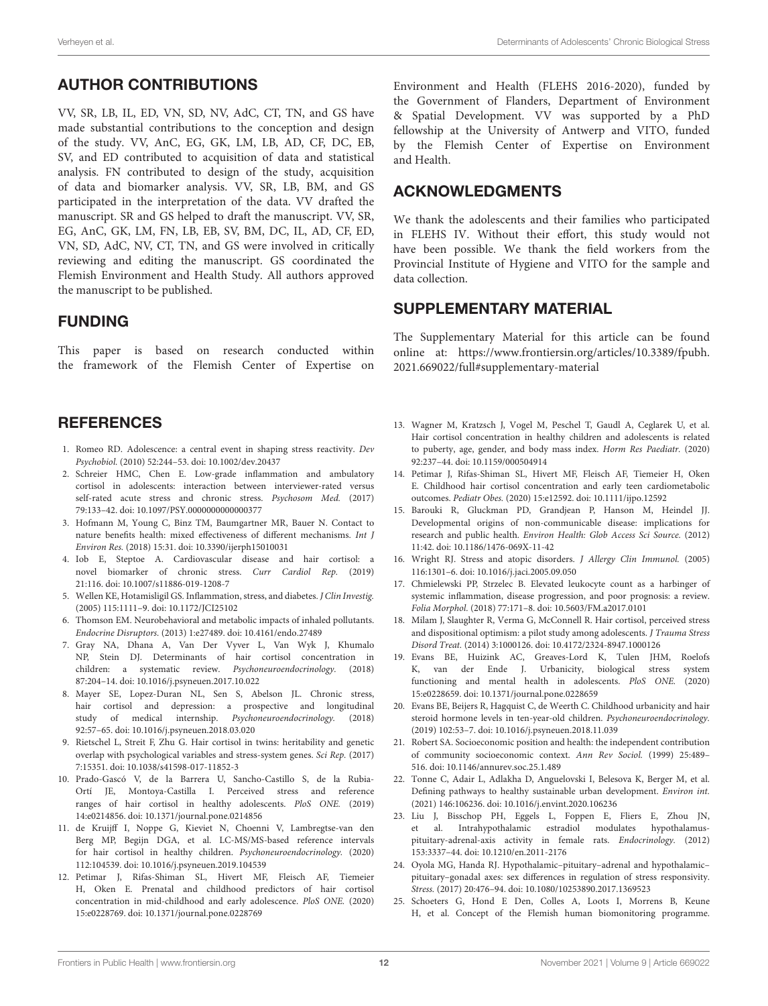# AUTHOR CONTRIBUTIONS

VV, SR, LB, IL, ED, VN, SD, NV, AdC, CT, TN, and GS have made substantial contributions to the conception and design of the study. VV, AnC, EG, GK, LM, LB, AD, CF, DC, EB, SV, and ED contributed to acquisition of data and statistical analysis. FN contributed to design of the study, acquisition of data and biomarker analysis. VV, SR, LB, BM, and GS participated in the interpretation of the data. VV drafted the manuscript. SR and GS helped to draft the manuscript. VV, SR, EG, AnC, GK, LM, FN, LB, EB, SV, BM, DC, IL, AD, CF, ED, VN, SD, AdC, NV, CT, TN, and GS were involved in critically reviewing and editing the manuscript. GS coordinated the Flemish Environment and Health Study. All authors approved the manuscript to be published.

### FUNDING

This paper is based on research conducted within the framework of the Flemish Center of Expertise on

### **REFERENCES**

- <span id="page-12-0"></span>1. Romeo RD. Adolescence: a central event in shaping stress reactivity. Dev Psychobiol. (2010) 52:244–53. doi: [10.1002/dev.20437](https://doi.org/10.1002/dev.20437)
- <span id="page-12-1"></span>2. Schreier HMC, Chen E. Low-grade inflammation and ambulatory cortisol in adolescents: interaction between interviewer-rated versus self-rated acute stress and chronic stress. Psychosom Med. (2017) 79:133–42. doi: [10.1097/PSY.0000000000000377](https://doi.org/10.1097/PSY.0000000000000377)
- <span id="page-12-2"></span>3. Hofmann M, Young C, Binz TM, Baumgartner MR, Bauer N. Contact to nature benefits health: mixed effectiveness of different mechanisms. Int J Environ Res. (2018) 15:31. doi: [10.3390/ijerph15010031](https://doi.org/10.3390/ijerph15010031)
- <span id="page-12-3"></span>4. Iob E, Steptoe A. Cardiovascular disease and hair cortisol: a novel biomarker of chronic stress. Curr Cardiol Rep. (2019) 21:116. doi: [10.1007/s11886-019-1208-7](https://doi.org/10.1007/s11886-019-1208-7)
- <span id="page-12-4"></span>5. Wellen KE, Hotamisligil GS. Inflammation, stress, and diabetes. J Clin Investig. (2005) 115:1111–9. doi: [10.1172/JCI25102](https://doi.org/10.1172/JCI25102)
- <span id="page-12-5"></span>6. Thomson EM. Neurobehavioral and metabolic impacts of inhaled pollutants. Endocrine Disruptors. (2013) 1:e27489. doi: [10.4161/endo.27489](https://doi.org/10.4161/endo.27489)
- <span id="page-12-6"></span>7. Gray NA, Dhana A, Van Der Vyver L, Van Wyk J, Khumalo NP, Stein DJ. Determinants of hair cortisol concentration in children: a systematic review. Psychoneuroendocrinology. (2018) 87:204–14. doi: [10.1016/j.psyneuen.2017.10.022](https://doi.org/10.1016/j.psyneuen.2017.10.022)
- <span id="page-12-7"></span>8. Mayer SE, Lopez-Duran NL, Sen S, Abelson JL. Chronic stress, hair cortisol and depression: a prospective and longitudinal study of medical internship. Psychoneuroendocrinology. (2018) 92:57–65. doi: [10.1016/j.psyneuen.2018.03.020](https://doi.org/10.1016/j.psyneuen.2018.03.020)
- <span id="page-12-8"></span>9. Rietschel L, Streit F, Zhu G. Hair cortisol in twins: heritability and genetic overlap with psychological variables and stress-system genes. Sci Rep. (2017) 7:15351. doi: [10.1038/s41598-017-11852-3](https://doi.org/10.1038/s41598-017-11852-3)
- <span id="page-12-9"></span>10. Prado-Gascó V, de la Barrera U, Sancho-Castillo S, de la Rubia-Ortí JE, Montoya-Castilla I. Perceived stress and reference ranges of hair cortisol in healthy adolescents. PloS ONE. (2019) 14:e0214856. doi: [10.1371/journal.pone.0214856](https://doi.org/10.1371/journal.pone.0214856)
- <span id="page-12-10"></span>11. de Kruijff I, Noppe G, Kieviet N, Choenni V, Lambregtse-van den Berg MP, Begijn DGA, et al. LC-MS/MS-based reference intervals for hair cortisol in healthy children. Psychoneuroendocrinology. (2020) 112:104539. doi: [10.1016/j.psyneuen.2019.104539](https://doi.org/10.1016/j.psyneuen.2019.104539)
- <span id="page-12-25"></span>12. Petimar J, Rifas-Shiman SL, Hivert MF, Fleisch AF, Tiemeier H, Oken E. Prenatal and childhood predictors of hair cortisol concentration in mid-childhood and early adolescence. PloS ONE. (2020) 15:e0228769. doi: [10.1371/journal.pone.0228769](https://doi.org/10.1371/journal.pone.0228769)

Environment and Health (FLEHS 2016-2020), funded by the Government of Flanders, Department of Environment & Spatial Development. VV was supported by a PhD fellowship at the University of Antwerp and VITO, funded by the Flemish Center of Expertise on Environment and Health.

### ACKNOWLEDGMENTS

We thank the adolescents and their families who participated in FLEHS IV. Without their effort, this study would not have been possible. We thank the field workers from the Provincial Institute of Hygiene and VITO for the sample and data collection.

### SUPPLEMENTARY MATERIAL

<span id="page-12-23"></span>The Supplementary Material for this article can be found [online at: https://www.frontiersin.org/articles/10.3389/fpubh.](https://www.frontiersin.org/articles/10.3389/fpubh.2021.669022/full#supplementary-material) 2021.669022/full#supplementary-material

- <span id="page-12-24"></span>13. Wagner M, Kratzsch J, Vogel M, Peschel T, Gaudl A, Ceglarek U, et al. Hair cortisol concentration in healthy children and adolescents is related to puberty, age, gender, and body mass index. Horm Res Paediatr. (2020) 92:237–44. doi: [10.1159/000504914](https://doi.org/10.1159/000504914)
- <span id="page-12-11"></span>14. Petimar J, Rifas-Shiman SL, Hivert MF, Fleisch AF, Tiemeier H, Oken E. Childhood hair cortisol concentration and early teen cardiometabolic outcomes. Pediatr Obes. (2020) 15:e12592. doi: [10.1111/ijpo.12592](https://doi.org/10.1111/ijpo.12592)
- <span id="page-12-12"></span>15. Barouki R, Gluckman PD, Grandjean P, Hanson M, Heindel JJ. Developmental origins of non-communicable disease: implications for research and public health. Environ Health: Glob Access Sci Source. (2012) 11:42. doi: [10.1186/1476-069X-11-42](https://doi.org/10.1186/1476-069X-11-42)
- <span id="page-12-13"></span>16. Wright RJ. Stress and atopic disorders. J Allergy Clin Immunol. (2005) 116:1301–6. doi: [10.1016/j.jaci.2005.09.050](https://doi.org/10.1016/j.jaci.2005.09.050)
- <span id="page-12-14"></span>17. Chmielewski PP, Strzelec B. Elevated leukocyte count as a harbinger of systemic inflammation, disease progression, and poor prognosis: a review. Folia Morphol. (2018) 77:171–8. doi: [10.5603/FM.a2017.0101](https://doi.org/10.5603/FM.a2017.0101)
- <span id="page-12-15"></span>18. Milam J, Slaughter R, Verma G, McConnell R. Hair cortisol, perceived stress and dispositional optimism: a pilot study among adolescents. J Trauma Stress Disord Treat. (2014) 3:1000126. doi: [10.4172/2324-8947.1000126](https://doi.org/10.4172/2324-8947.1000126)
- <span id="page-12-16"></span>19. Evans BE, Huizink AC, Greaves-Lord K, Tulen JHM, Roelofs K, van der Ende J. Urbanicity, biological stress system functioning and mental health in adolescents. PloS ONE. (2020) 15:e0228659. doi: [10.1371/journal.pone.0228659](https://doi.org/10.1371/journal.pone.0228659)
- <span id="page-12-17"></span>20. Evans BE, Beijers R, Hagquist C, de Weerth C. Childhood urbanicity and hair steroid hormone levels in ten-year-old children. Psychoneuroendocrinology. (2019) 102:53–7. doi: [10.1016/j.psyneuen.2018.11.039](https://doi.org/10.1016/j.psyneuen.2018.11.039)
- <span id="page-12-18"></span>21. Robert SA. Socioeconomic position and health: the independent contribution of community socioeconomic context. Ann Rev Sociol. (1999) 25:489– 516. doi: [10.1146/annurev.soc.25.1.489](https://doi.org/10.1146/annurev.soc.25.1.489)
- <span id="page-12-19"></span>22. Tonne C, Adair L, Adlakha D, Anguelovski I, Belesova K, Berger M, et al. Defining pathways to healthy sustainable urban development. Environ int. (2021) 146:106236. doi: [10.1016/j.envint.2020.106236](https://doi.org/10.1016/j.envint.2020.106236)
- <span id="page-12-20"></span>23. Liu J, Bisschop PH, Eggels L, Foppen E, Fliers E, Zhou JN, et al. Intrahypothalamic estradiol modulates hypothalamuspituitary-adrenal-axis activity in female rats. Endocrinology. (2012) 153:3337–44. doi: [10.1210/en.2011-2176](https://doi.org/10.1210/en.2011-2176)
- <span id="page-12-21"></span>24. Oyola MG, Handa RJ. Hypothalamic–pituitary–adrenal and hypothalamic– pituitary–gonadal axes: sex differences in regulation of stress responsivity. Stress. (2017) 20:476–94. doi: [10.1080/10253890.2017.1369523](https://doi.org/10.1080/10253890.2017.1369523)
- <span id="page-12-22"></span>25. Schoeters G, Hond E Den, Colles A, Loots I, Morrens B, Keune H, et al. Concept of the Flemish human biomonitoring programme.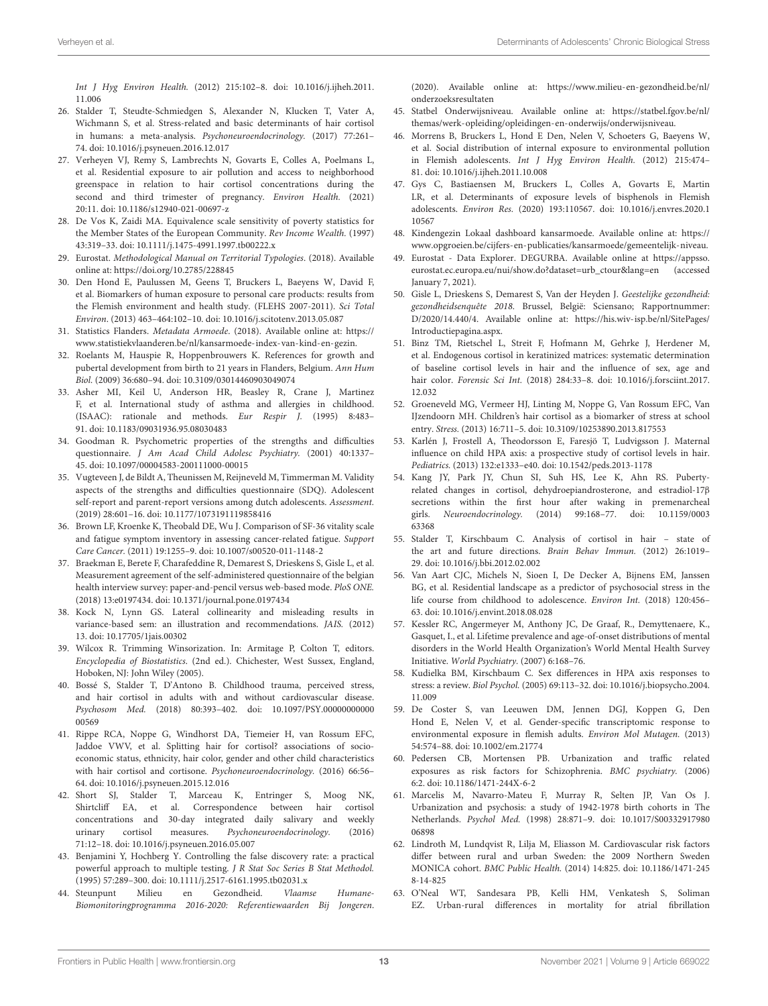Int J Hyg Environ Health. [\(2012\) 215:102–8. doi: 10.1016/j.ijheh.2011.](https://doi.org/10.1016/j.ijheh.2011.11.006) 11.006

- <span id="page-13-0"></span>26. Stalder T, Steudte-Schmiedgen S, Alexander N, Klucken T, Vater A, Wichmann S, et al. Stress-related and basic determinants of hair cortisol in humans: a meta-analysis. Psychoneuroendocrinology. (2017) 77:261– 74. doi: [10.1016/j.psyneuen.2016.12.017](https://doi.org/10.1016/j.psyneuen.2016.12.017)
- <span id="page-13-1"></span>27. Verheyen VJ, Remy S, Lambrechts N, Govarts E, Colles A, Poelmans L, et al. Residential exposure to air pollution and access to neighborhood greenspace in relation to hair cortisol concentrations during the second and third trimester of pregnancy. Environ Health. (2021) 20:11. doi: [10.1186/s12940-021-00697-z](https://doi.org/10.1186/s12940-021-00697-z)
- <span id="page-13-2"></span>28. De Vos K, Zaidi MA. Equivalence scale sensitivity of poverty statistics for the Member States of the European Community. Rev Income Wealth. (1997) 43:319–33. doi: [10.1111/j.1475-4991.1997.tb00222.x](https://doi.org/10.1111/j.1475-4991.1997.tb00222.x)
- <span id="page-13-3"></span>29. Eurostat. Methodological Manual on Territorial Typologies. (2018). Available online at:<https://doi.org/10.2785/228845>
- <span id="page-13-4"></span>30. Den Hond E, Paulussen M, Geens T, Bruckers L, Baeyens W, David F, et al. Biomarkers of human exposure to personal care products: results from the Flemish environment and health study. (FLEHS 2007-2011). Sci Total Environ. (2013) 463–464:102–10. doi: [10.1016/j.scitotenv.2013.05.087](https://doi.org/10.1016/j.scitotenv.2013.05.087)
- <span id="page-13-5"></span>31. Statistics Flanders. Metadata Armoede. (2018). Available online at: [https://](https://www.statistiekvlaanderen.be/nl/kansarmoede-index-van-kind-en-gezin) [www.statistiekvlaanderen.be/nl/kansarmoede-index-van-kind-en-gezin.](https://www.statistiekvlaanderen.be/nl/kansarmoede-index-van-kind-en-gezin)
- <span id="page-13-6"></span>Roelants M, Hauspie R, Hoppenbrouwers K. References for growth and pubertal development from birth to 21 years in Flanders, Belgium. Ann Hum Biol. (2009) 36:680–94. doi: [10.3109/03014460903049074](https://doi.org/10.3109/03014460903049074)
- <span id="page-13-7"></span>33. Asher MI, Keil U, Anderson HR, Beasley R, Crane J, Martinez F, et al. International study of asthma and allergies in childhood. (ISAAC): rationale and methods. Eur Respir J. (1995) 8:483– 91. doi: [10.1183/09031936.95.08030483](https://doi.org/10.1183/09031936.95.08030483)
- <span id="page-13-8"></span>34. Goodman R. Psychometric properties of the strengths and difficulties questionnaire. J Am Acad Child Adolesc Psychiatry. (2001) 40:1337– 45. doi: [10.1097/00004583-200111000-00015](https://doi.org/10.1097/00004583-200111000-00015)
- <span id="page-13-9"></span>35. Vugteveen J, de Bildt A, Theunissen M, Reijneveld M, Timmerman M. Validity aspects of the strengths and difficulties questionnaire (SDQ). Adolescent self-report and parent-report versions among dutch adolescents. Assessment. (2019) 28:601–16. doi: [10.1177/1073191119858416](https://doi.org/10.1177/1073191119858416)
- <span id="page-13-10"></span>36. Brown LF, Kroenke K, Theobald DE, Wu J. Comparison of SF-36 vitality scale and fatigue symptom inventory in assessing cancer-related fatigue. Support Care Cancer. (2011) 19:1255–9. doi: [10.1007/s00520-011-1148-2](https://doi.org/10.1007/s00520-011-1148-2)
- <span id="page-13-11"></span>37. Braekman E, Berete F, Charafeddine R, Demarest S, Drieskens S, Gisle L, et al. Measurement agreement of the self-administered questionnaire of the belgian health interview survey: paper-and-pencil versus web-based mode. PloS ONE. (2018) 13:e0197434. doi: [10.1371/journal.pone.0197434](https://doi.org/10.1371/journal.pone.0197434)
- <span id="page-13-12"></span>38. Kock N, Lynn GS. Lateral collinearity and misleading results in variance-based sem: an illustration and recommendations. JAIS. (2012) 13. doi: [10.17705/1jais.00302](https://doi.org/10.17705/1jais.00302)
- <span id="page-13-13"></span>39. Wilcox R. Trimming Winsorization. In: Armitage P, Colton T, editors. Encyclopedia of Biostatistics. (2nd ed.). Chichester, West Sussex, England, Hoboken, NJ: John Wiley (2005).
- <span id="page-13-14"></span>40. Bossé S, Stalder T, D'Antono B. Childhood trauma, perceived stress, and hair cortisol in adults with and without cardiovascular disease. Psychosom Med. [\(2018\) 80:393–402. doi: 10.1097/PSY.00000000000](https://doi.org/10.1097/PSY.0000000000000569) 00569
- 41. Rippe RCA, Noppe G, Windhorst DA, Tiemeier H, van Rossum EFC, Jaddoe VWV, et al. Splitting hair for cortisol? associations of socioeconomic status, ethnicity, hair color, gender and other child characteristics with hair cortisol and cortisone. Psychoneuroendocrinology. (2016) 66:56– 64. doi: [10.1016/j.psyneuen.2015.12.016](https://doi.org/10.1016/j.psyneuen.2015.12.016)
- <span id="page-13-15"></span>42. Short SJ, Stalder T, Marceau K, Entringer S, Moog NK, Shirtcliff EA, et al. Correspondence between hair cortisol concentrations and 30-day integrated daily salivary and weekly urinary cortisol measures. Psychoneuroendocrinology. (2016) 71:12–18. doi: [10.1016/j.psyneuen.2016.05.007](https://doi.org/10.1016/j.psyneuen.2016.05.007)
- <span id="page-13-16"></span>43. Benjamini Y, Hochberg Y. Controlling the false discovery rate: a practical powerful approach to multiple testing. J R Stat Soc Series B Stat Methodol. (1995) 57:289–300. doi: [10.1111/j.2517-6161.1995.tb02031.x](https://doi.org/10.1111/j.2517-6161.1995.tb02031.x)
- <span id="page-13-17"></span>44. Steunpunt Milieu en Gezondheid. Vlaamse Humane-Biomonitoringprogramma 2016-2020: Referentiewaarden Bij Jongeren.

(2020). Available online at: [https://www.milieu-en-gezondheid.be/nl/](https://www.milieu-en-gezondheid.be/nl/onderzoeksresultaten) [onderzoeksresultaten](https://www.milieu-en-gezondheid.be/nl/onderzoeksresultaten)

- <span id="page-13-18"></span>45. Statbel Onderwijsniveau. Available online at: [https://statbel.fgov.be/nl/](https://statbel.fgov.be/nl/themas/werk-opleiding/opleidingen-en-onderwijs/onderwijsniveau) [themas/werk-opleiding/opleidingen-en-onderwijs/onderwijsniveau.](https://statbel.fgov.be/nl/themas/werk-opleiding/opleidingen-en-onderwijs/onderwijsniveau)
- <span id="page-13-19"></span>46. Morrens B, Bruckers L, Hond E Den, Nelen V, Schoeters G, Baeyens W, et al. Social distribution of internal exposure to environmental pollution in Flemish adolescents. Int J Hyg Environ Health. (2012) 215:474– 81. doi: [10.1016/j.ijheh.2011.10.008](https://doi.org/10.1016/j.ijheh.2011.10.008)
- <span id="page-13-20"></span>47. Gys C, Bastiaensen M, Bruckers L, Colles A, Govarts E, Martin LR, et al. Determinants of exposure levels of bisphenols in Flemish adolescents. Environ Res. [\(2020\) 193:110567. doi: 10.1016/j.envres.2020.1](https://doi.org/10.1016/j.envres.2020.110567) 10567
- <span id="page-13-21"></span>48. Kindengezin Lokaal dashboard kansarmoede. Available online at: [https://](https://www.opgroeien.be/cijfers-en-publicaties/kansarmoede/gemeentelijk-niveau) [www.opgroeien.be/cijfers-en-publicaties/kansarmoede/gemeentelijk-niveau.](https://www.opgroeien.be/cijfers-en-publicaties/kansarmoede/gemeentelijk-niveau)
- <span id="page-13-22"></span>49. Eurostat - Data Explorer. DEGURBA. Available online at [https://appsso.](https://appsso.eurostat.ec.europa.eu/nui/show.do?dataset=urb_ctour&lang=en) [eurostat.ec.europa.eu/nui/show.do?dataset=urb\\_ctour&lang=en](https://appsso.eurostat.ec.europa.eu/nui/show.do?dataset=urb_ctour&lang=en) (accessed January 7, 2021).
- <span id="page-13-23"></span>50. Gisle L, Drieskens S, Demarest S, Van der Heyden J. Geestelijke gezondheid: gezondheidsenquête 2018. Brussel, België: Sciensano; Rapportnummer: D/2020/14.440/4. Available online at: [https://his.wiv-isp.be/nl/SitePages/](https://his.wiv-isp.be/nl/SitePages/Introductiepagina.aspx) [Introductiepagina.aspx.](https://his.wiv-isp.be/nl/SitePages/Introductiepagina.aspx)
- <span id="page-13-24"></span>51. Binz TM, Rietschel L, Streit F, Hofmann M, Gehrke J, Herdener M, et al. Endogenous cortisol in keratinized matrices: systematic determination of baseline cortisol levels in hair and the influence of sex, age and hair color. Forensic Sci Int. [\(2018\) 284:33–8. doi: 10.1016/j.forsciint.2017.](https://doi.org/10.1016/j.forsciint.2017.12.032) 12.032
- <span id="page-13-25"></span>52. Groeneveld MG, Vermeer HJ, Linting M, Noppe G, Van Rossum EFC, Van IJzendoorn MH. Children's hair cortisol as a biomarker of stress at school entry. Stress. (2013) 16:711–5. doi: [10.3109/10253890.2013.817553](https://doi.org/10.3109/10253890.2013.817553)
- <span id="page-13-26"></span>53. Karlén J, Frostell A, Theodorsson E, Faresjö T, Ludvigsson J. Maternal influence on child HPA axis: a prospective study of cortisol levels in hair. Pediatrics. (2013) 132:e1333–e40. doi: [10.1542/peds.2013-1178](https://doi.org/10.1542/peds.2013-1178)
- <span id="page-13-27"></span>54. Kang JY, Park JY, Chun SI, Suh HS, Lee K, Ahn RS. Pubertyrelated changes in cortisol, dehydroepiandrosterone, and estradiol-17β secretions within the first hour after waking in premenarcheal girls. Neuroendocrinology. [\(2014\) 99:168–77. doi: 10.1159/0003](https://doi.org/10.1159/000363368) 63368
- <span id="page-13-28"></span>55. Stalder T, Kirschbaum C. Analysis of cortisol in hair – state of the art and future directions. Brain Behav Immun. (2012) 26:1019– 29. doi: [10.1016/j.bbi.2012.02.002](https://doi.org/10.1016/j.bbi.2012.02.002)
- <span id="page-13-29"></span>56. Van Aart CJC, Michels N, Sioen I, De Decker A, Bijnens EM, Janssen BG, et al. Residential landscape as a predictor of psychosocial stress in the life course from childhood to adolescence. Environ Int. (2018) 120:456– 63. doi: [10.1016/j.envint.2018.08.028](https://doi.org/10.1016/j.envint.2018.08.028)
- <span id="page-13-30"></span>57. Kessler RC, Angermeyer M, Anthony JC, De Graaf, R., Demyttenaere, K., Gasquet, I., et al. Lifetime prevalence and age-of-onset distributions of mental disorders in the World Health Organization's World Mental Health Survey Initiative. World Psychiatry. (2007) 6:168–76.
- <span id="page-13-31"></span>58. Kudielka BM, Kirschbaum C. Sex differences in HPA axis responses to stress: a review. Biol Psychol. [\(2005\) 69:113–32. doi: 10.1016/j.biopsycho.2004.](https://doi.org/10.1016/j.biopsycho.2004.11.009) 11.009
- <span id="page-13-32"></span>59. De Coster S, van Leeuwen DM, Jennen DGJ, Koppen G, Den Hond E, Nelen V, et al. Gender-specific transcriptomic response to environmental exposure in flemish adults. Environ Mol Mutagen. (2013) 54:574–88. doi: [10.1002/em.21774](https://doi.org/10.1002/em.21774)
- <span id="page-13-33"></span>60. Pedersen CB, Mortensen PB. Urbanization and traffic related exposures as risk factors for Schizophrenia. BMC psychiatry. (2006) 6:2. doi: [10.1186/1471-244X-6-2](https://doi.org/10.1186/1471-244X-6-2)
- <span id="page-13-34"></span>61. Marcelis M, Navarro-Mateu F, Murray R, Selten JP, Van Os J. Urbanization and psychosis: a study of 1942-1978 birth cohorts in The Netherlands. Psychol Med. [\(1998\) 28:871–9. doi: 10.1017/S00332917980](https://doi.org/10.1017/S0033291798006898) 06898
- <span id="page-13-35"></span>62. Lindroth M, Lundqvist R, Lilja M, Eliasson M. Cardiovascular risk factors differ between rural and urban Sweden: the 2009 Northern Sweden MONICA cohort. BMC Public Health. [\(2014\) 14:825. doi: 10.1186/1471-245](https://doi.org/10.1186/1471-2458-14-825) 8-14-825
- <span id="page-13-36"></span>63. O'Neal WT, Sandesara PB, Kelli HM, Venkatesh S, Soliman EZ. Urban-rural differences in mortality for atrial fibrillation